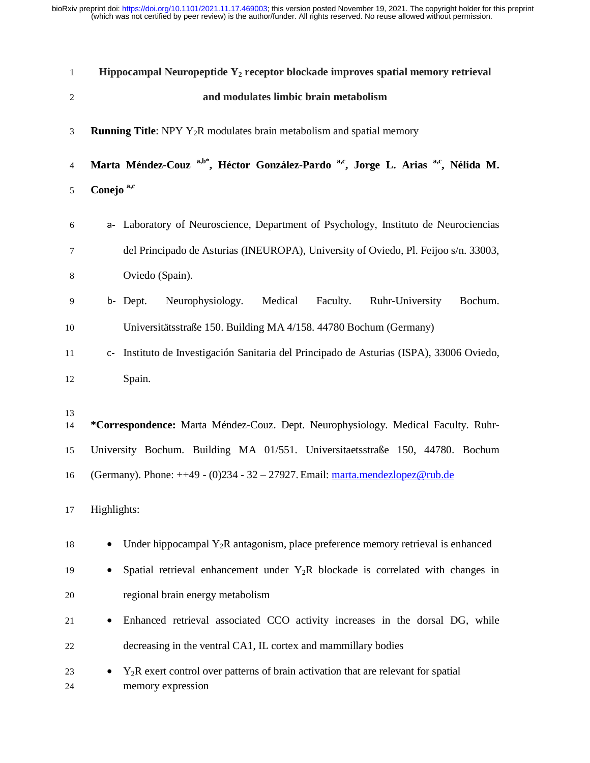| $\mathbf{1}$ | Hippocampal Neuropeptide $Y_2$ receptor blockade improves spatial memory retrieval                                   |
|--------------|----------------------------------------------------------------------------------------------------------------------|
| $\sqrt{2}$   | and modulates limbic brain metabolism                                                                                |
| 3            | <b>Running Title:</b> NPY $Y_2R$ modulates brain metabolism and spatial memory                                       |
| 4            | Marta Méndez-Couz <sup>a,b*</sup> , Héctor González-Pardo <sup>a,c</sup> , Jorge L. Arias <sup>a,c</sup> , Nélida M. |
| 5            | Conejo <sup>a,c</sup>                                                                                                |
| 6            | a- Laboratory of Neuroscience, Department of Psychology, Instituto de Neurociencias                                  |
| 7            | del Principado de Asturias (INEUROPA), University of Oviedo, Pl. Feijoo s/n. 33003,                                  |
| 8            | Oviedo (Spain).                                                                                                      |
| 9            | Neurophysiology. Medical<br>Bochum.<br>b- Dept.<br>Faculty.<br>Ruhr-University                                       |
| 10           | Universitätsstraße 150. Building MA 4/158. 44780 Bochum (Germany)                                                    |
| 11           | c- Instituto de Investigación Sanitaria del Principado de Asturias (ISPA), 33006 Oviedo,                             |
| 12           | Spain.                                                                                                               |
|              |                                                                                                                      |
| 13<br>14     | *Correspondence: Marta Méndez-Couz. Dept. Neurophysiology. Medical Faculty. Ruhr-                                    |
| 15           | University Bochum. Building MA 01/551. Universitaetsstraße 150, 44780. Bochum                                        |
| 16           | (Germany). Phone: $++49 - (0)234 - 32 - 27927$ . Email: marta.mendezlopez@rub.de                                     |
| 17           | Highlights:                                                                                                          |
| 18           | Under hippocampal $Y_2R$ antagonism, place preference memory retrieval is enhanced                                   |
| 19           | Spatial retrieval enhancement under $Y_2R$ blockade is correlated with changes in                                    |
| 20           | regional brain energy metabolism                                                                                     |
| 21           | Enhanced retrieval associated CCO activity increases in the dorsal DG, while<br>٠                                    |
| 22           | decreasing in the ventral CA1, IL cortex and mammillary bodies                                                       |
| 23<br>24     | $Y_2R$ exert control over patterns of brain activation that are relevant for spatial<br>memory expression            |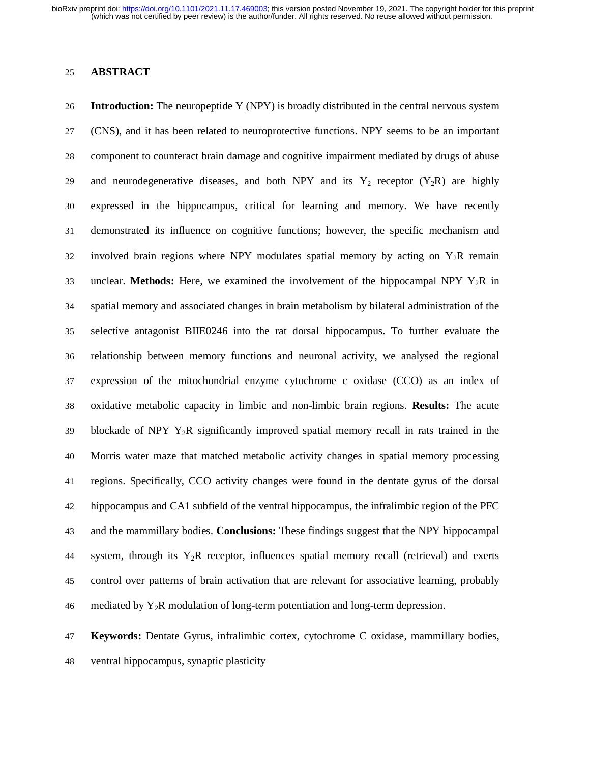### 25 **ABSTRACT**

26 **Introduction:** The neuropeptide Y (NPY) is broadly distributed in the central nervous system 27 (CNS), and it has been related to neuroprotective functions. NPY seems to be an important 28 component to counteract brain damage and cognitive impairment mediated by drugs of abuse 29 and neurodegenerative diseases, and both NPY and its  $Y_2$  receptor  $(Y_2R)$  are highly 30 expressed in the hippocampus, critical for learning and memory. We have recently 31 demonstrated its influence on cognitive functions; however, the specific mechanism and 32 involved brain regions where NPY modulates spatial memory by acting on  $Y_2R$  remain 33 unclear. **Methods:** Here, we examined the involvement of the hippocampal NPY Y2R in 34 spatial memory and associated changes in brain metabolism by bilateral administration of the 35 selective antagonist BIIE0246 into the rat dorsal hippocampus. To further evaluate the 36 relationship between memory functions and neuronal activity, we analysed the regional 37 expression of the mitochondrial enzyme cytochrome c oxidase (CCO) as an index of 38 oxidative metabolic capacity in limbic and non-limbic brain regions. **Results:** The acute 39 blockade of NPY  $Y_2R$  significantly improved spatial memory recall in rats trained in the 40 Morris water maze that matched metabolic activity changes in spatial memory processing 41 regions. Specifically, CCO activity changes were found in the dentate gyrus of the dorsal 42 hippocampus and CA1 subfield of the ventral hippocampus, the infralimbic region of the PFC 43 and the mammillary bodies. **Conclusions:** These findings suggest that the NPY hippocampal 44 system, through its  $Y_2R$  receptor, influences spatial memory recall (retrieval) and exerts 45 control over patterns of brain activation that are relevant for associative learning, probably 46 mediated by  $Y_2R$  modulation of long-term potentiation and long-term depression.

47 **Keywords:** Dentate Gyrus, infralimbic cortex, cytochrome C oxidase, mammillary bodies, 48 ventral hippocampus, synaptic plasticity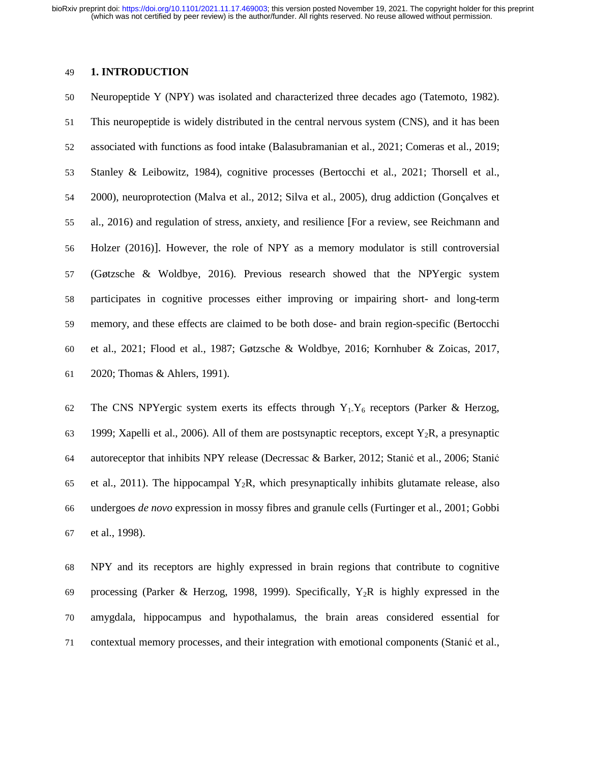### 49 **1. INTRODUCTION**

50 Neuropeptide Y (NPY) was isolated and characterized three decades ago (Tatemoto, 1982). 51 This neuropeptide is widely distributed in the central nervous system (CNS), and it has been 52 associated with functions as food intake (Balasubramanian et al., 2021; Comeras et al., 2019; 53 Stanley & Leibowitz, 1984), cognitive processes (Bertocchi et al., 2021; Thorsell et al., 54 2000), neuroprotection (Malva et al., 2012; Silva et al., 2005), drug addiction (Gonçalves et 55 al., 2016) and regulation of stress, anxiety, and resilience [For a review, see Reichmann and 56 Holzer (2016)]. However, the role of NPY as a memory modulator is still controversial 57 (Gøtzsche & Woldbye, 2016). Previous research showed that the NPYergic system 58 participates in cognitive processes either improving or impairing short- and long-term 59 memory, and these effects are claimed to be both dose- and brain region-specific (Bertocchi 60 et al., 2021; Flood et al., 1987; Gøtzsche & Woldbye, 2016; Kornhuber & Zoicas, 2017, 61 2020; Thomas & Ahlers, 1991).

62 The CNS NPYergic system exerts its effects through  $Y_1$ -Y<sub>6</sub> receptors (Parker & Herzog, 63 1999; Xapelli et al., 2006). All of them are postsynaptic receptors, except  $Y_2R$ , a presynaptic 64 autoreceptor that inhibits NPY release (Decressac & Barker, 2012; Stanić et al., 2006; Stani<sup>ć</sup> 65 et al., 2011). The hippocampal  $Y_2R$ , which presynaptically inhibits glutamate release, also 66 undergoes *de novo* expression in mossy fibres and granule cells (Furtinger et al., 2001; Gobbi 67 et al., 1998).

68 NPY and its receptors are highly expressed in brain regions that contribute to cognitive 69 processing (Parker & Herzog, 1998, 1999). Specifically,  $Y_2R$  is highly expressed in the 70 amygdala, hippocampus and hypothalamus, the brain areas considered essential for 71 contextual memory processes, and their integration with emotional components (Stanić et al.,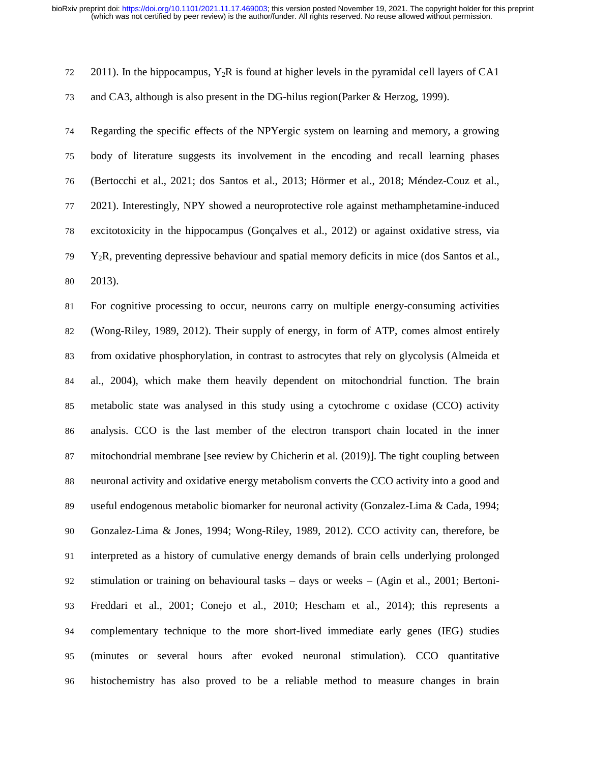$72 \quad 2011$ ). In the hippocampus, Y<sub>2</sub>R is found at higher levels in the pyramidal cell layers of CA1

73 and CA3, although is also present in the DG-hilus region(Parker & Herzog, 1999).

74 Regarding the specific effects of the NPYergic system on learning and memory, a growing 75 body of literature suggests its involvement in the encoding and recall learning phases 76 (Bertocchi et al., 2021; dos Santos et al., 2013; Hörmer et al., 2018; Méndez-Couz et al., 77 2021). Interestingly, NPY showed a neuroprotective role against methamphetamine-induced 78 excitotoxicity in the hippocampus (Gonçalves et al., 2012) or against oxidative stress, via  $\gamma$ <sup>9</sup> Y<sub>2</sub>R, preventing depressive behaviour and spatial memory deficits in mice (dos Santos et al., 80 2013).

81 For cognitive processing to occur, neurons carry on multiple energy-consuming activities 82 (Wong-Riley, 1989, 2012). Their supply of energy, in form of ATP, comes almost entirely 83 from oxidative phosphorylation, in contrast to astrocytes that rely on glycolysis (Almeida et 84 al., 2004), which make them heavily dependent on mitochondrial function. The brain 85 metabolic state was analysed in this study using a cytochrome c oxidase (CCO) activity 86 analysis. CCO is the last member of the electron transport chain located in the inner 87 mitochondrial membrane [see review by Chicherin et al. (2019)]. The tight coupling between 88 neuronal activity and oxidative energy metabolism converts the CCO activity into a good and 89 useful endogenous metabolic biomarker for neuronal activity (Gonzalez-Lima & Cada, 1994; 90 Gonzalez-Lima & Jones, 1994; Wong-Riley, 1989, 2012). CCO activity can, therefore, be 91 interpreted as a history of cumulative energy demands of brain cells underlying prolonged 92 stimulation or training on behavioural tasks – days or weeks – (Agin et al., 2001; Bertoni-93 Freddari et al., 2001; Conejo et al., 2010; Hescham et al., 2014); this represents a 94 complementary technique to the more short-lived immediate early genes (IEG) studies 95 (minutes or several hours after evoked neuronal stimulation). CCO quantitative 96 histochemistry has also proved to be a reliable method to measure changes in brain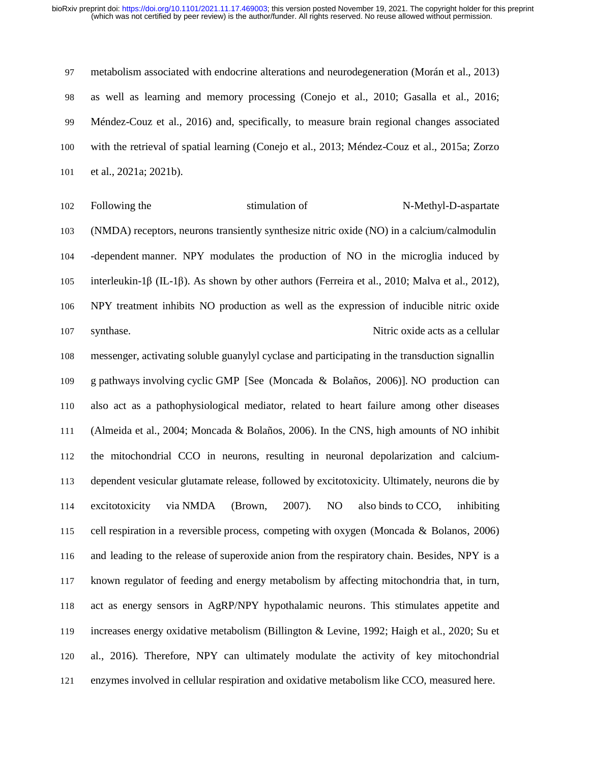97 metabolism associated with endocrine alterations and neurodegeneration (Morán et al., 2013) 98 as well as learning and memory processing (Conejo et al., 2010; Gasalla et al., 2016; 99 Méndez-Couz et al., 2016) and, specifically, to measure brain regional changes associated 100 with the retrieval of spatial learning (Conejo et al., 2013; Méndez-Couz et al., 2015a; Zorzo 101 et al., 2021a; 2021b).

102 Following the stimulation of N-Methyl-D-aspartate 103 (NMDA) receptors, neurons transiently synthesize nitric oxide (NO) in a calcium/calmodulin 104 -dependent manner. NPY modulates the production of NO in the microglia induced by 105 interleukin-1β (IL-1β). As shown by other authors (Ferreira et al., 2010; Malva et al., 2012), 106 NPY treatment inhibits NO production as well as the expression of inducible nitric oxide 107 synthase. Nitric oxide acts as a cellular

108 messenger, activating soluble guanylyl cyclase and participating in the transduction signallin 109 g pathways involving cyclic GMP [See (Moncada & Bolaños, 2006)]. NO production can 110 also act as a pathophysiological mediator, related to heart failure among other diseases 111 (Almeida et al., 2004; Moncada & Bolaños, 2006). In the CNS, high amounts of NO inhibit 112 the mitochondrial CCO in neurons, resulting in neuronal depolarization and calcium-113 dependent vesicular glutamate release, followed by excitotoxicity. Ultimately, neurons die by 114 excitotoxicity via NMDA (Brown, 2007). NO also binds to CCO, inhibiting 115 cell respiration in a reversible process, competing with oxygen (Moncada & Bolanos, 2006) 116 and leading to the release of superoxide anion from the respiratory chain. Besides, NPY is a 117 known regulator of feeding and energy metabolism by affecting mitochondria that, in turn, 118 act as energy sensors in AgRP/NPY hypothalamic neurons. This stimulates appetite and 119 increases energy oxidative metabolism (Billington & Levine, 1992; Haigh et al., 2020; Su et 120 al., 2016). Therefore, NPY can ultimately modulate the activity of key mitochondrial 121 enzymes involved in cellular respiration and oxidative metabolism like CCO, measured here.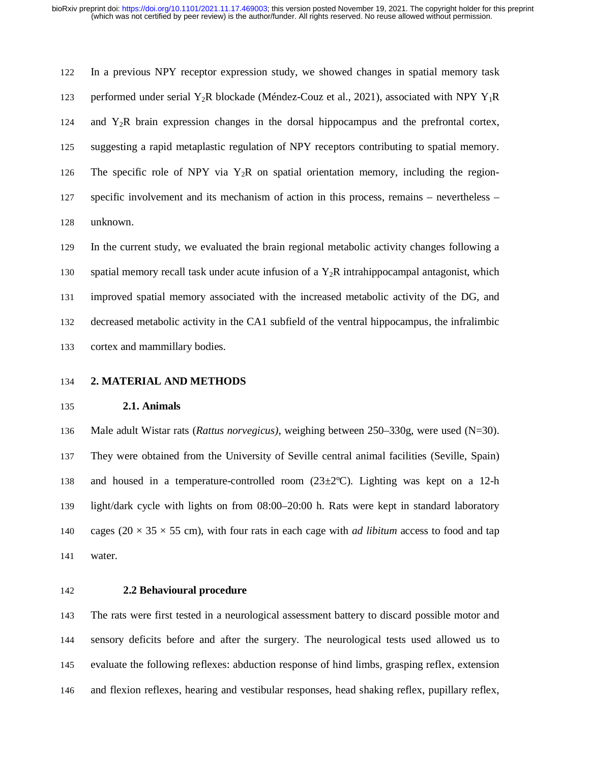122 In a previous NPY receptor expression study, we showed changes in spatial memory task 123 performed under serial Y<sub>2</sub>R blockade (Méndez-Couz et al., 2021), associated with NPY Y<sub>1</sub>R 124 and Y2R brain expression changes in the dorsal hippocampus and the prefrontal cortex, 125 suggesting a rapid metaplastic regulation of NPY receptors contributing to spatial memory. 126 The specific role of NPY via  $Y_2R$  on spatial orientation memory, including the region-127 specific involvement and its mechanism of action in this process, remains – nevertheless – 128 unknown.

129 In the current study, we evaluated the brain regional metabolic activity changes following a 130 spatial memory recall task under acute infusion of a  $Y_2R$  intrahippocampal antagonist, which 131 improved spatial memory associated with the increased metabolic activity of the DG, and 132 decreased metabolic activity in the CA1 subfield of the ventral hippocampus, the infralimbic 133 cortex and mammillary bodies.

134 **2. MATERIAL AND METHODS**

### 135 **2.1. Animals**

136 Male adult Wistar rats (*Rattus norvegicus)*, weighing between 250–330g, were used (N=30). 137 They were obtained from the University of Seville central animal facilities (Seville, Spain) 138 and housed in a temperature-controlled room  $(23\pm 2^{\circ}\text{C})$ . Lighting was kept on a 12-h 139 light/dark cycle with lights on from 08:00–20:00 h. Rats were kept in standard laboratory 140 cages  $(20 \times 35 \times 55$  cm), with four rats in each cage with *ad libitum* access to food and tap 141 water.

### 142 **2.2 Behavioural procedure**

143 The rats were first tested in a neurological assessment battery to discard possible motor and 144 sensory deficits before and after the surgery. The neurological tests used allowed us to 145 evaluate the following reflexes: abduction response of hind limbs, grasping reflex, extension 146 and flexion reflexes, hearing and vestibular responses, head shaking reflex, pupillary reflex,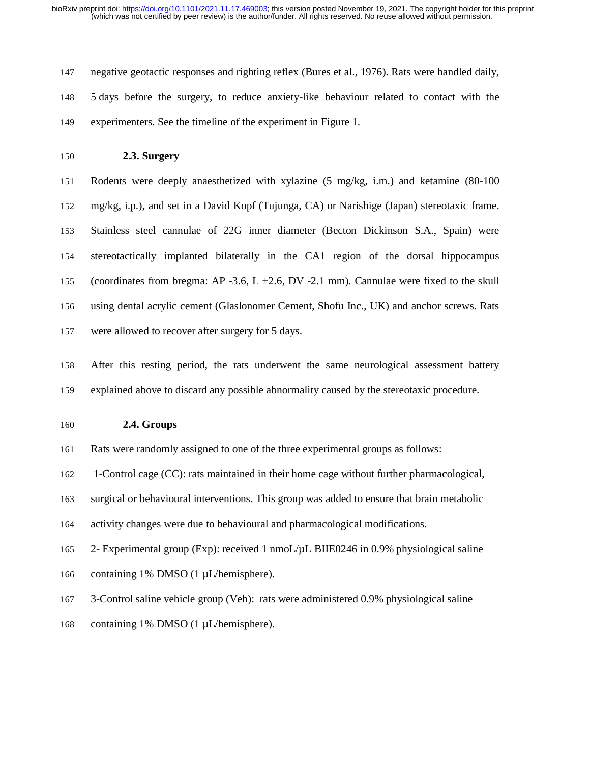(which was not certified by peer review) is the author/funder. All rights reserved. No reuse allowed without permission. bioRxiv preprint doi: [https://doi.org/10.1101/2021.11.17.469003;](https://doi.org/10.1101/2021.11.17.469003) this version posted November 19, 2021. The copyright holder for this preprint

147 negative geotactic responses and righting reflex (Bures et al., 1976). Rats were handled daily, 148 5 days before the surgery, to reduce anxiety-like behaviour related to contact with the 149 experimenters. See the timeline of the experiment in Figure 1.

150 **2.3. Surgery** 

151 Rodents were deeply anaesthetized with xylazine (5 mg/kg, i.m.) and ketamine (80-100 152 mg/kg, i.p.), and set in a David Kopf (Tujunga, CA) or Narishige (Japan) stereotaxic frame. 153 Stainless steel cannulae of 22G inner diameter (Becton Dickinson S.A., Spain) were 154 stereotactically implanted bilaterally in the CA1 region of the dorsal hippocampus 155 (coordinates from bregma: AP -3.6, L  $\pm 2.6$ , DV -2.1 mm). Cannulae were fixed to the skull 156 using dental acrylic cement (Glaslonomer Cement, Shofu Inc., UK) and anchor screws. Rats 157 were allowed to recover after surgery for 5 days.

158 After this resting period, the rats underwent the same neurological assessment battery 159 explained above to discard any possible abnormality caused by the stereotaxic procedure.

160 **2.4. Groups**

161 Rats were randomly assigned to one of the three experimental groups as follows:

162 1-Control cage (CC): rats maintained in their home cage without further pharmacological,

163 surgical or behavioural interventions. This group was added to ensure that brain metabolic

164 activity changes were due to behavioural and pharmacological modifications.

165 2- Experimental group (Exp): received 1 nmoL/µL BIIE0246 in 0.9% physiological saline

166 containing 1% DMSO (1 µL/hemisphere).

167 3-Control saline vehicle group (Veh): rats were administered 0.9% physiological saline

168 containing 1% DMSO (1 µL/hemisphere).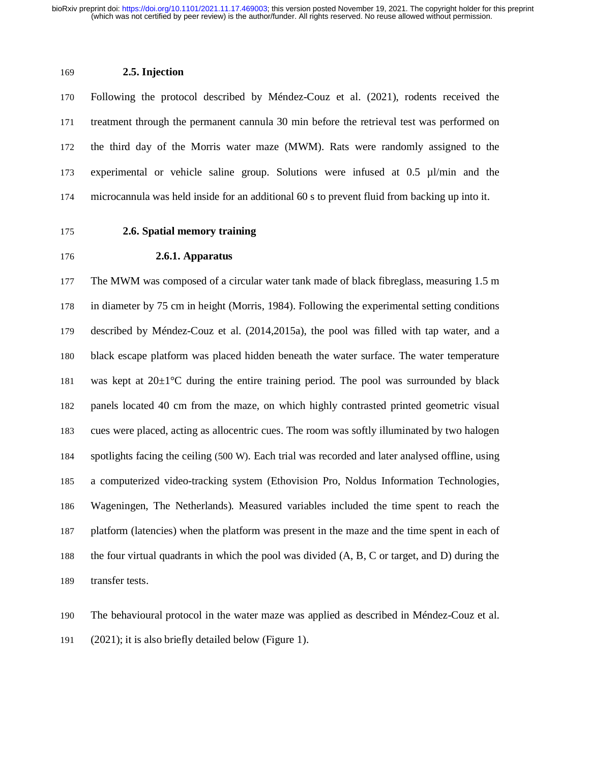### 169 **2.5. Injection**

170 Following the protocol described by Méndez-Couz et al. (2021), rodents received the 171 treatment through the permanent cannula 30 min before the retrieval test was performed on 172 the third day of the Morris water maze (MWM). Rats were randomly assigned to the 173 experimental or vehicle saline group. Solutions were infused at 0.5 µl/min and the 174 microcannula was held inside for an additional 60 s to prevent fluid from backing up into it.

### 175 **2.6. Spatial memory training**

### 176 **2.6.1. Apparatus**

177 The MWM was composed of a circular water tank made of black fibreglass, measuring 1.5 m 178 in diameter by 75 cm in height (Morris, 1984). Following the experimental setting conditions 179 described by Méndez-Couz et al. (2014,2015a), the pool was filled with tap water, and a 180 black escape platform was placed hidden beneath the water surface. The water temperature 181 was kept at  $20 \pm 1^{\circ}$ C during the entire training period. The pool was surrounded by black 182 panels located 40 cm from the maze, on which highly contrasted printed geometric visual 183 cues were placed, acting as allocentric cues. The room was softly illuminated by two halogen 184 spotlights facing the ceiling (500 W). Each trial was recorded and later analysed offline, using 185 a computerized video-tracking system (Ethovision Pro, Noldus Information Technologies, 186 Wageningen, The Netherlands). Measured variables included the time spent to reach the 187 platform (latencies) when the platform was present in the maze and the time spent in each of 188 the four virtual quadrants in which the pool was divided (A, B, C or target, and D) during the 189 transfer tests.

190 The behavioural protocol in the water maze was applied as described in Méndez-Couz et al. 191 (2021); it is also briefly detailed below (Figure 1).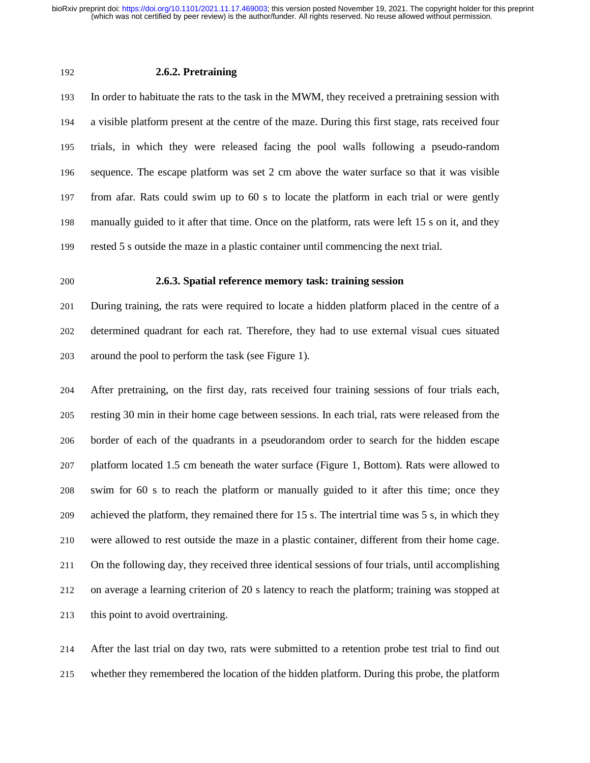### 192 **2.6.2. Pretraining**

193 In order to habituate the rats to the task in the MWM, they received a pretraining session with 194 a visible platform present at the centre of the maze. During this first stage, rats received four 195 trials, in which they were released facing the pool walls following a pseudo-random 196 sequence. The escape platform was set 2 cm above the water surface so that it was visible 197 from afar. Rats could swim up to 60 s to locate the platform in each trial or were gently 198 manually guided to it after that time. Once on the platform, rats were left 15 s on it, and they 199 rested 5 s outside the maze in a plastic container until commencing the next trial.

### 200 **2.6.3. Spatial reference memory task: training session**

201 During training, the rats were required to locate a hidden platform placed in the centre of a 202 determined quadrant for each rat. Therefore, they had to use external visual cues situated 203 around the pool to perform the task (see Figure 1).

204 After pretraining, on the first day, rats received four training sessions of four trials each, 205 resting 30 min in their home cage between sessions. In each trial, rats were released from the 206 border of each of the quadrants in a pseudorandom order to search for the hidden escape 207 platform located 1.5 cm beneath the water surface (Figure 1, Bottom). Rats were allowed to 208 swim for 60 s to reach the platform or manually guided to it after this time; once they 209 achieved the platform, they remained there for 15 s. The intertrial time was 5 s, in which they 210 were allowed to rest outside the maze in a plastic container, different from their home cage. 211 On the following day, they received three identical sessions of four trials, until accomplishing 212 on average a learning criterion of 20 s latency to reach the platform; training was stopped at 213 this point to avoid overtraining.

214 After the last trial on day two, rats were submitted to a retention probe test trial to find out 215 whether they remembered the location of the hidden platform. During this probe, the platform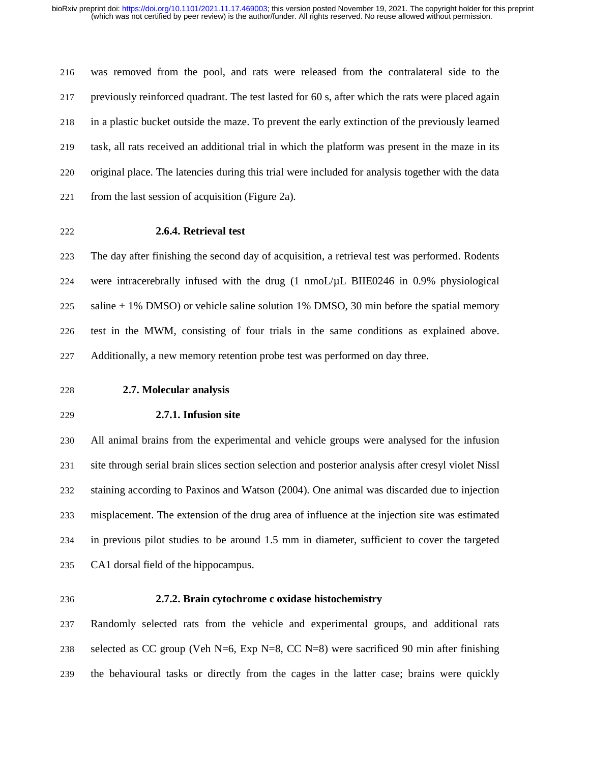216 was removed from the pool, and rats were released from the contralateral side to the 217 previously reinforced quadrant. The test lasted for 60 s, after which the rats were placed again 218 in a plastic bucket outside the maze. To prevent the early extinction of the previously learned 219 task, all rats received an additional trial in which the platform was present in the maze in its 220 original place. The latencies during this trial were included for analysis together with the data 221 from the last session of acquisition (Figure 2a).

### 222 **2.6.4. Retrieval test**

223 The day after finishing the second day of acquisition, a retrieval test was performed. Rodents 224 were intracerebrally infused with the drug (1 nmoL/µL BIIE0246 in 0.9% physiological 225 saline + 1% DMSO) or vehicle saline solution 1% DMSO, 30 min before the spatial memory 226 test in the MWM, consisting of four trials in the same conditions as explained above. 227 Additionally, a new memory retention probe test was performed on day three.

- 228 **2.7. Molecular analysis**
- 

### 229 **2.7.1. Infusion site**

230 All animal brains from the experimental and vehicle groups were analysed for the infusion 231 site through serial brain slices section selection and posterior analysis after cresyl violet Nissl 232 staining according to Paxinos and Watson (2004). One animal was discarded due to injection 233 misplacement. The extension of the drug area of influence at the injection site was estimated 234 in previous pilot studies to be around 1.5 mm in diameter, sufficient to cover the targeted 235 CA1 dorsal field of the hippocampus.

### 236 **2.7.2. Brain cytochrome c oxidase histochemistry**

237 Randomly selected rats from the vehicle and experimental groups, and additional rats 238 selected as CC group (Veh N=6, Exp N=8, CC N=8) were sacrificed 90 min after finishing 239 the behavioural tasks or directly from the cages in the latter case; brains were quickly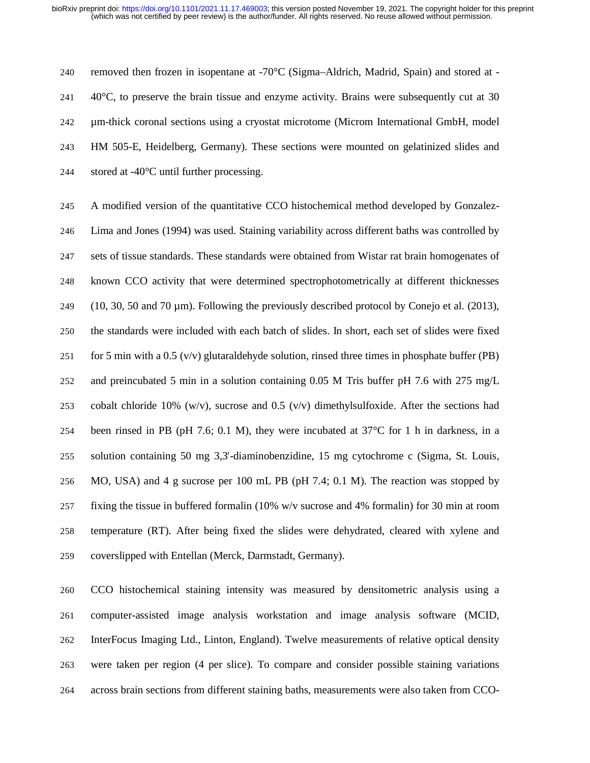240 removed then frozen in isopentane at  $-70^{\circ}$ C (Sigma–Aldrich, Madrid, Spain) and stored at -241  $\,$  40 $\,^{\circ}$ C, to preserve the brain tissue and enzyme activity. Brains were subsequently cut at 30 242 µm-thick coronal sections using a cryostat microtome (Microm International GmbH, model 243 HM 505-E, Heidelberg, Germany). These sections were mounted on gelatinized slides and 244 stored at -40°C until further processing.

245 A modified version of the quantitative CCO histochemical method developed by Gonzalez-246 Lima and Jones (1994) was used. Staining variability across different baths was controlled by 247 sets of tissue standards. These standards were obtained from Wistar rat brain homogenates of 248 known CCO activity that were determined spectrophotometrically at different thicknesses 249 (10, 30, 50 and 70  $\mu$ m). Following the previously described protocol by Conejo et al. (2013), 250 the standards were included with each batch of slides. In short, each set of slides were fixed 251 for 5 min with a 0.5 (v/v) glutaraldehyde solution, rinsed three times in phosphate buffer (PB) 252 and preincubated 5 min in a solution containing 0.05 M Tris buffer pH 7.6 with 275 mg/L 253 cobalt chloride 10% (w/v), sucrose and 0.5 (v/v) dimethylsulfoxide. After the sections had 254 been rinsed in PB (pH 7.6; 0.1 M), they were incubated at  $37^{\circ}$ C for 1 h in darkness, in a 255 solution containing 50 mg 3,3′-diaminobenzidine, 15 mg cytochrome c (Sigma, St. Louis, 256 MO, USA) and 4 g sucrose per 100 mL PB (pH 7.4; 0.1 M). The reaction was stopped by 257 fixing the tissue in buffered formalin (10% w/v sucrose and 4% formalin) for 30 min at room 258 temperature (RT). After being fixed the slides were dehydrated, cleared with xylene and 259 coverslipped with Entellan (Merck, Darmstadt, Germany).

260 CCO histochemical staining intensity was measured by densitometric analysis using a 261 computer-assisted image analysis workstation and image analysis software (MCID, 262 InterFocus Imaging Ltd., Linton, England). Twelve measurements of relative optical density 263 were taken per region (4 per slice). To compare and consider possible staining variations 264 across brain sections from different staining baths, measurements were also taken from CCO-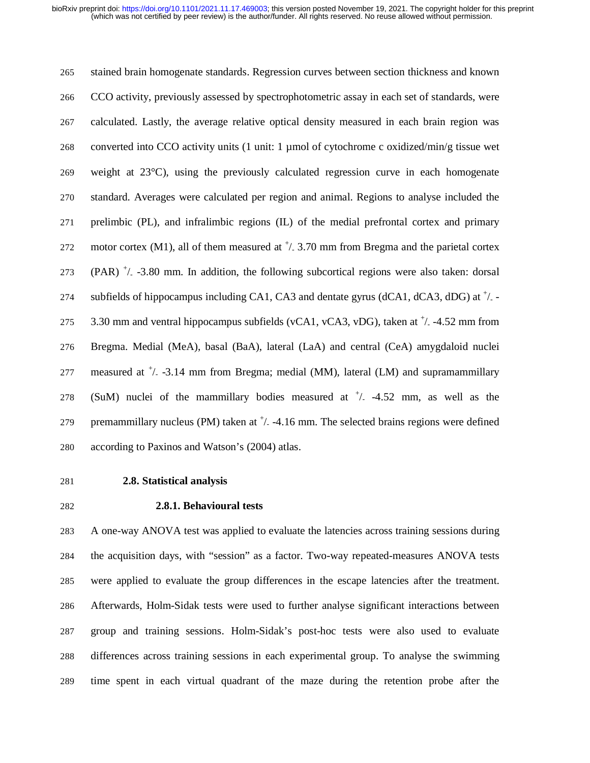265 stained brain homogenate standards. Regression curves between section thickness and known 266 CCO activity, previously assessed by spectrophotometric assay in each set of standards, were 267 calculated. Lastly, the average relative optical density measured in each brain region was 268 converted into CCO activity units (1 unit: 1 µmol of cytochrome c oxidized/min/g tissue wet 269 weight at 23°C), using the previously calculated regression curve in each homogenate 270 standard. Averages were calculated per region and animal. Regions to analyse included the 271 prelimbic (PL), and infralimbic regions (IL) of the medial prefrontal cortex and primary 272 motor cortex (M1), all of them measured at  $\frac{1}{2}$ . 3.70 mm from Bregma and the parietal cortex 273 (PAR)  $^+/$  -3.80 mm. In addition, the following subcortical regions were also taken: dorsal 274 subfields of hippocampus including CA1, CA3 and dentate gyrus (dCA1, dCA3, dDG) at  $^{\dagger}/$  -275  $-3.30$  mm and ventral hippocampus subfields (vCA1, vCA3, vDG), taken at  $\frac{+}{2}$  -4.52 mm from 276 Bregma. Medial (MeA), basal (BaA), lateral (LaA) and central (CeA) amygdaloid nuclei 277 measured at  $\frac{+}{2}$  -3.14 mm from Bregma; medial (MM), lateral (LM) and supramammillary 278 (SuM) nuclei of the mammillary bodies measured at  $\frac{+}{2}$  -4.52 mm, as well as the 279 premammillary nucleus (PM) taken at  $\frac{1}{2}$  -4.16 mm. The selected brains regions were defined 280 according to Paxinos and Watson's (2004) atlas.

### 281 **2.8. Statistical analysis**

### 282 **2.8.1. Behavioural tests**

283 A one-way ANOVA test was applied to evaluate the latencies across training sessions during 284 the acquisition days, with "session" as a factor. Two-way repeated-measures ANOVA tests 285 were applied to evaluate the group differences in the escape latencies after the treatment. 286 Afterwards, Holm-Sidak tests were used to further analyse significant interactions between 287 group and training sessions. Holm-Sidak's post-hoc tests were also used to evaluate 288 differences across training sessions in each experimental group. To analyse the swimming 289 time spent in each virtual quadrant of the maze during the retention probe after the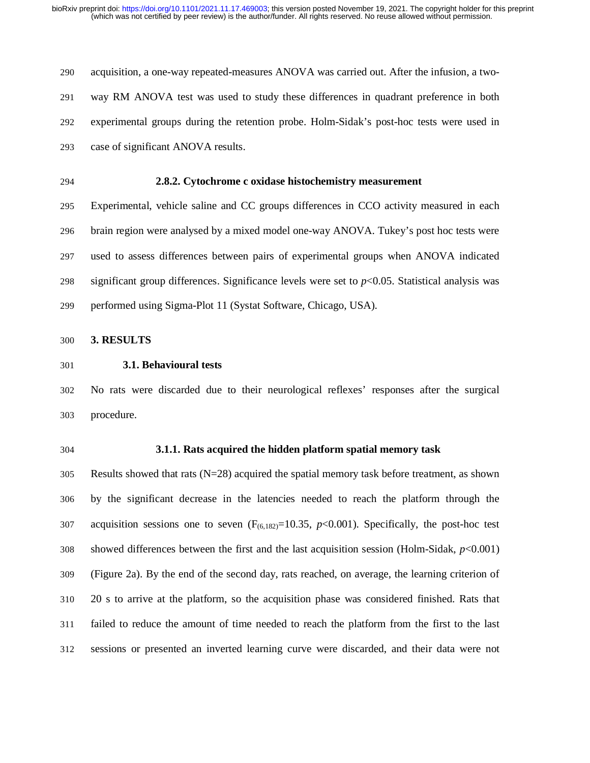290 acquisition, a one-way repeated-measures ANOVA was carried out. After the infusion, a two-291 way RM ANOVA test was used to study these differences in quadrant preference in both 292 experimental groups during the retention probe. Holm-Sidak's post-hoc tests were used in 293 case of significant ANOVA results.

294 **2.8.2. Cytochrome c oxidase histochemistry measurement**

295 Experimental, vehicle saline and CC groups differences in CCO activity measured in each 296 brain region were analysed by a mixed model one-way ANOVA. Tukey's post hoc tests were 297 used to assess differences between pairs of experimental groups when ANOVA indicated 298 significant group differences. Significance levels were set to *p*<0.05. Statistical analysis was 299 performed using Sigma-Plot 11 (Systat Software, Chicago, USA).

300 **3. RESULTS**

### 301 **3.1. Behavioural tests**

302 No rats were discarded due to their neurological reflexes' responses after the surgical 303 procedure.

#### 304 **3.1.1. Rats acquired the hidden platform spatial memory task**

305 Results showed that rats (N=28) acquired the spatial memory task before treatment, as shown 306 by the significant decrease in the latencies needed to reach the platform through the 307 acquisition sessions one to seven  $(F_{(6,182)}=10.35, p<0.001)$ . Specifically, the post-hoc test 308 showed differences between the first and the last acquisition session (Holm-Sidak, *p*<0.001) 309 (Figure 2a). By the end of the second day, rats reached, on average, the learning criterion of 310 20 s to arrive at the platform, so the acquisition phase was considered finished. Rats that 311 failed to reduce the amount of time needed to reach the platform from the first to the last 312 sessions or presented an inverted learning curve were discarded, and their data were not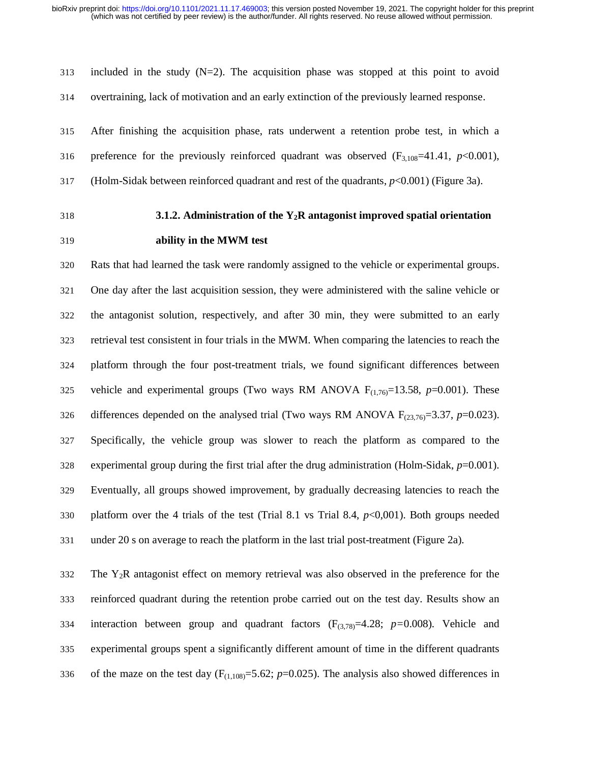$313$  included in the study  $(N=2)$ . The acquisition phase was stopped at this point to avoid 314 overtraining, lack of motivation and an early extinction of the previously learned response.

315 After finishing the acquisition phase, rats underwent a retention probe test, in which a 316 preference for the previously reinforced quadrant was observed  $(F_{3,108}=41.41, p<0.001)$ , 317 (Holm-Sidak between reinforced quadrant and rest of the quadrants, *p*<0.001) (Figure 3a).

### 318 **3.1.2. Administration of the Y2R antagonist improved spatial orientation**

### 319 **ability in the MWM test**

320 Rats that had learned the task were randomly assigned to the vehicle or experimental groups. 321 One day after the last acquisition session, they were administered with the saline vehicle or 322 the antagonist solution, respectively, and after 30 min, they were submitted to an early 323 retrieval test consistent in four trials in the MWM. When comparing the latencies to reach the 324 platform through the four post-treatment trials, we found significant differences between 325 vehicle and experimental groups (Two ways RM ANOVA  $F_{(1,76)}=13.58$ ,  $p=0.001$ ). These 326 differences depended on the analysed trial (Two ways RM ANOVA  $F_{(23,76)}=3.37$ ,  $p=0.023$ ). 327 Specifically, the vehicle group was slower to reach the platform as compared to the 328 experimental group during the first trial after the drug administration (Holm-Sidak,  $p=0.001$ ). 329 Eventually, all groups showed improvement, by gradually decreasing latencies to reach the 330 platform over the 4 trials of the test (Trial 8.1 vs Trial 8.4, *p*<0,001). Both groups needed 331 under 20 s on average to reach the platform in the last trial post-treatment (Figure 2a).

 $332$  The Y<sub>2</sub>R antagonist effect on memory retrieval was also observed in the preference for the 333 reinforced quadrant during the retention probe carried out on the test day. Results show an 334 interaction between group and quadrant factors (F(3,78)=4.28; *p=*0.008). Vehicle and 335 experimental groups spent a significantly different amount of time in the different quadrants 336 of the maze on the test day  $(F_{(1,108)} = 5.62; p=0.025)$ . The analysis also showed differences in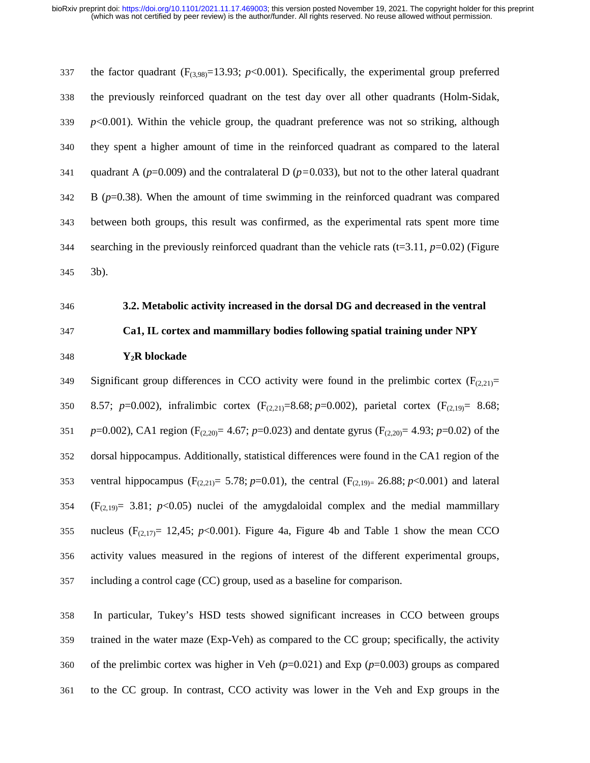337 the factor quadrant  $(F_{(3,98)}=13.93; p<0.001)$ . Specifically, the experimental group preferred 338 the previously reinforced quadrant on the test day over all other quadrants (Holm-Sidak,  $339$  *p*<0.001). Within the vehicle group, the quadrant preference was not so striking, although 340 they spent a higher amount of time in the reinforced quadrant as compared to the lateral 341 quadrant A (*p*=0.009) and the contralateral D (*p=*0.033), but not to the other lateral quadrant 342 B (*p*=0.38). When the amount of time swimming in the reinforced quadrant was compared 343 between both groups, this result was confirmed, as the experimental rats spent more time 344 searching in the previously reinforced quadrant than the vehicle rats ( $t=3.11$ ,  $p=0.02$ ) (Figure 345 3b).

### 346 **3.2. Metabolic activity increased in the dorsal DG and decreased in the ventral**

$$
347\\
$$

# 347 **Ca1, IL cortex and mammillary bodies following spatial training under NPY**

### 348 **Y2R blockade**

349 Significant group differences in CCO activity were found in the prelimbic cortex  $(F_{(2,21)}=$ 350 8.57; *p*=0.002), infralimbic cortex (F(2,21)=8.68; *p*=0.002), parietal cortex (F(2,19)= 8.68; 351 *p*=0.002), CA1 region (F(2,20)= 4.67; *p*=0.023) and dentate gyrus (F(2,20)= 4.93; *p*=0.02) of the 352 dorsal hippocampus. Additionally, statistical differences were found in the CA1 region of the 353 ventral hippocampus ( $F_{(2,21)} = 5.78$ ; *p*=0.01), the central ( $F_{(2,19)} = 26.88$ ; *p*<0.001) and lateral  $354$  (F<sub>(2,19)</sub> = 3.81;  $p$ <0.05) nuclei of the amygdaloidal complex and the medial mammillary 355 nucleus  $(F_{(2,17)}= 12,45; p<0.001)$ . Figure 4a, Figure 4b and Table 1 show the mean CCO 356 activity values measured in the regions of interest of the different experimental groups, 357 including a control cage (CC) group, used as a baseline for comparison.

358 In particular, Tukey's HSD tests showed significant increases in CCO between groups 359 trained in the water maze (Exp-Veh) as compared to the CC group; specifically, the activity 360 of the prelimbic cortex was higher in Veh (*p*=0.021) and Exp (*p*=0.003) groups as compared 361 to the CC group. In contrast, CCO activity was lower in the Veh and Exp groups in the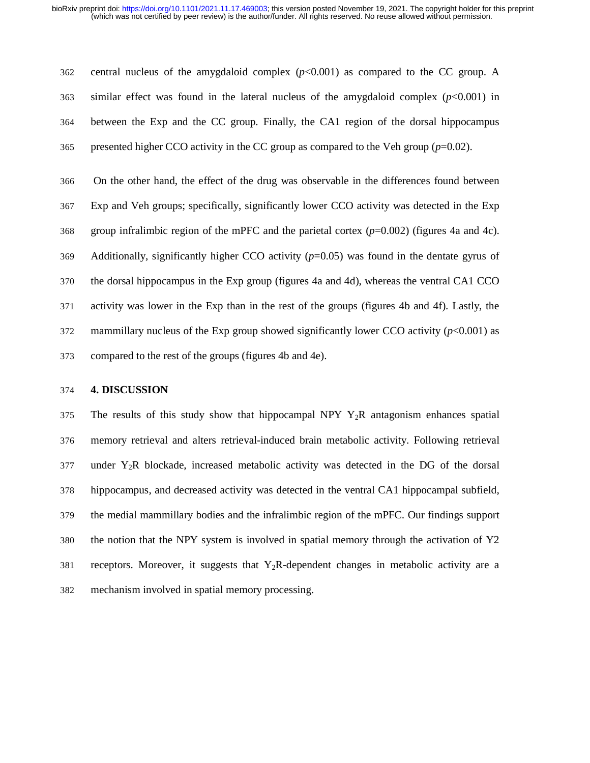362 central nucleus of the amygdaloid complex (*p*<0.001) as compared to the CC group. A 363 similar effect was found in the lateral nucleus of the amygdaloid complex (*p*<0.001) in 364 between the Exp and the CC group. Finally, the CA1 region of the dorsal hippocampus 365 presented higher CCO activity in the CC group as compared to the Veh group  $(p=0.02)$ .

366 On the other hand, the effect of the drug was observable in the differences found between 367 Exp and Veh groups; specifically, significantly lower CCO activity was detected in the Exp 368 group infralimbic region of the mPFC and the parietal cortex (*p*=0.002) (figures 4a and 4c). 369 Additionally, significantly higher CCO activity (*p*=0.05) was found in the dentate gyrus of 370 the dorsal hippocampus in the Exp group (figures 4a and 4d), whereas the ventral CA1 CCO 371 activity was lower in the Exp than in the rest of the groups (figures 4b and 4f). Lastly, the 372 mammillary nucleus of the Exp group showed significantly lower CCO activity  $(p<0.001)$  as 373 compared to the rest of the groups (figures 4b and 4e).

### 374 **4. DISCUSSION**

375 The results of this study show that hippocampal NPY  $Y_2R$  antagonism enhances spatial 376 memory retrieval and alters retrieval-induced brain metabolic activity. Following retrieval  $377$  under Y<sub>2</sub>R blockade, increased metabolic activity was detected in the DG of the dorsal 378 hippocampus, and decreased activity was detected in the ventral CA1 hippocampal subfield, 379 the medial mammillary bodies and the infralimbic region of the mPFC. Our findings support 380 the notion that the NPY system is involved in spatial memory through the activation of Y2  $381$  receptors. Moreover, it suggests that Y<sub>2</sub>R-dependent changes in metabolic activity are a 382 mechanism involved in spatial memory processing.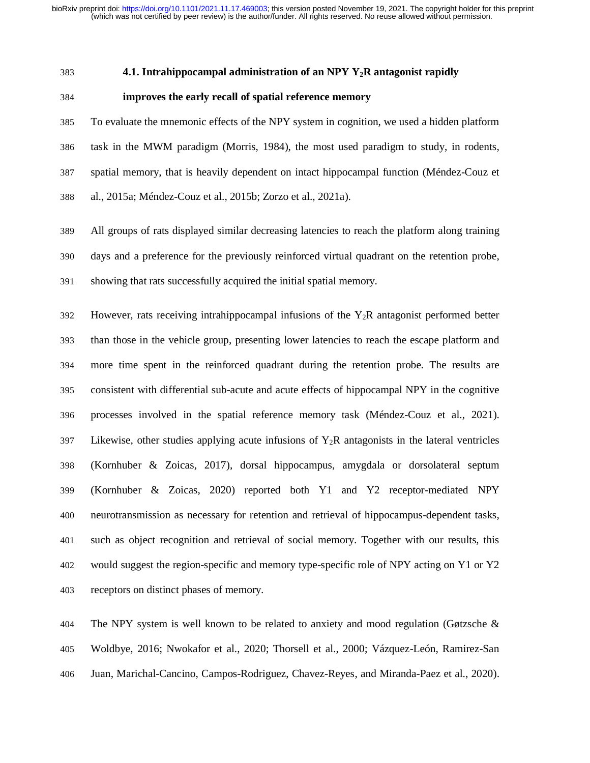#### 383 **4.1. Intrahippocampal administration of an NPY Y2R antagonist rapidly**

### 384 **improves the early recall of spatial reference memory**

385 To evaluate the mnemonic effects of the NPY system in cognition, we used a hidden platform 386 task in the MWM paradigm (Morris, 1984), the most used paradigm to study, in rodents, 387 spatial memory, that is heavily dependent on intact hippocampal function (Méndez-Couz et 388 al., 2015a; Méndez-Couz et al., 2015b; Zorzo et al., 2021a).

389 All groups of rats displayed similar decreasing latencies to reach the platform along training 390 days and a preference for the previously reinforced virtual quadrant on the retention probe, 391 showing that rats successfully acquired the initial spatial memory.

392 However, rats receiving intrahippocampal infusions of the  $Y_2R$  antagonist performed better 393 than those in the vehicle group, presenting lower latencies to reach the escape platform and 394 more time spent in the reinforced quadrant during the retention probe. The results are 395 consistent with differential sub-acute and acute effects of hippocampal NPY in the cognitive 396 processes involved in the spatial reference memory task (Méndez-Couz et al., 2021). 397 Likewise, other studies applying acute infusions of  $Y_2R$  antagonists in the lateral ventricles 398 (Kornhuber & Zoicas, 2017), dorsal hippocampus, amygdala or dorsolateral septum 399 (Kornhuber & Zoicas, 2020) reported both Y1 and Y2 receptor-mediated NPY 400 neurotransmission as necessary for retention and retrieval of hippocampus-dependent tasks, 401 such as object recognition and retrieval of social memory. Together with our results, this 402 would suggest the region-specific and memory type-specific role of NPY acting on Y1 or Y2 403 receptors on distinct phases of memory.

404 The NPY system is well known to be related to anxiety and mood regulation (Gøtzsche & 405 Woldbye, 2016; Nwokafor et al., 2020; Thorsell et al., 2000; Vázquez-León, Ramirez-San 406 Juan, Marichal-Cancino, Campos-Rodriguez, Chavez-Reyes, and Miranda-Paez et al., 2020).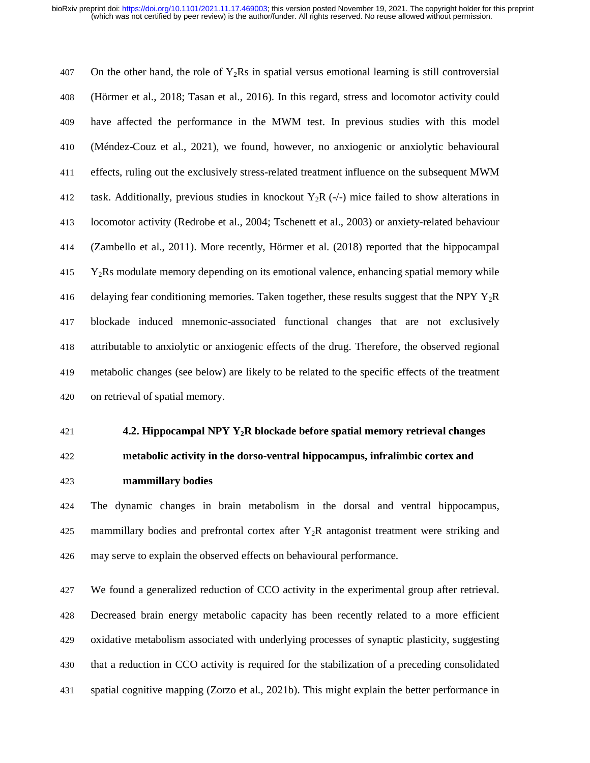407 On the other hand, the role of  $Y_2Rs$  in spatial versus emotional learning is still controversial 408 (Hörmer et al., 2018; Tasan et al., 2016). In this regard, stress and locomotor activity could 409 have affected the performance in the MWM test. In previous studies with this model 410 (Méndez-Couz et al., 2021), we found, however, no anxiogenic or anxiolytic behavioural 411 effects, ruling out the exclusively stress-related treatment influence on the subsequent MWM 412 task. Additionally, previous studies in knockout  $Y_2R$  (-/-) mice failed to show alterations in 413 locomotor activity (Redrobe et al., 2004; Tschenett et al., 2003) or anxiety-related behaviour 414 (Zambello et al., 2011). More recently, Hörmer et al. (2018) reported that the hippocampal  $415$  Y<sub>2</sub>Rs modulate memory depending on its emotional valence, enhancing spatial memory while 416 delaying fear conditioning memories. Taken together, these results suggest that the NPY  $Y_2R$ 417 blockade induced mnemonic-associated functional changes that are not exclusively 418 attributable to anxiolytic or anxiogenic effects of the drug. Therefore, the observed regional 419 metabolic changes (see below) are likely to be related to the specific effects of the treatment 420 on retrieval of spatial memory.

### 421 **4.2. Hippocampal NPY Y2R blockade before spatial memory retrieval changes**

# 422 **metabolic activity in the dorso-ventral hippocampus, infralimbic cortex and**

423 **mammillary bodies**

424 The dynamic changes in brain metabolism in the dorsal and ventral hippocampus, 425 mammillary bodies and prefrontal cortex after Y2R antagonist treatment were striking and 426 may serve to explain the observed effects on behavioural performance.

427 We found a generalized reduction of CCO activity in the experimental group after retrieval. 428 Decreased brain energy metabolic capacity has been recently related to a more efficient 429 oxidative metabolism associated with underlying processes of synaptic plasticity, suggesting 430 that a reduction in CCO activity is required for the stabilization of a preceding consolidated 431 spatial cognitive mapping (Zorzo et al., 2021b). This might explain the better performance in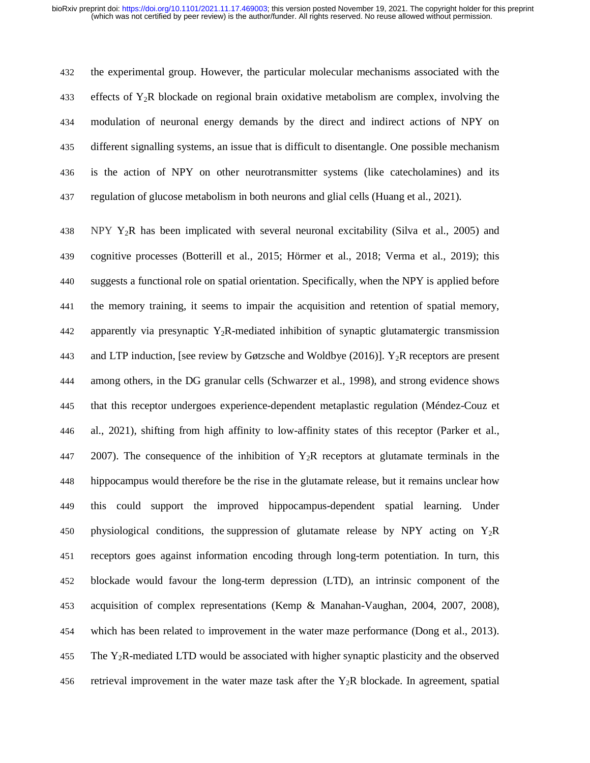432 the experimental group. However, the particular molecular mechanisms associated with the 433 effects of  $Y_2R$  blockade on regional brain oxidative metabolism are complex, involving the 434 modulation of neuronal energy demands by the direct and indirect actions of NPY on 435 different signalling systems, an issue that is difficult to disentangle. One possible mechanism 436 is the action of NPY on other neurotransmitter systems (like catecholamines) and its 437 regulation of glucose metabolism in both neurons and glial cells (Huang et al., 2021).

438 NPY Y2R has been implicated with several neuronal excitability (Silva et al., 2005) and 439 cognitive processes (Botterill et al., 2015; Hörmer et al., 2018; Verma et al., 2019); this 440 suggests a functional role on spatial orientation. Specifically, when the NPY is applied before 441 the memory training, it seems to impair the acquisition and retention of spatial memory, 442 apparently via presynaptic  $Y_2R$ -mediated inhibition of synaptic glutamatergic transmission 443 and LTP induction, [see review by Gøtzsche and Woldbye (2016)].  $Y_2R$  receptors are present 444 among others, in the DG granular cells (Schwarzer et al., 1998), and strong evidence shows 445 that this receptor undergoes experience-dependent metaplastic regulation (Méndez-Couz et 446 al., 2021), shifting from high affinity to low-affinity states of this receptor (Parker et al., 447 2007). The consequence of the inhibition of  $Y_2R$  receptors at glutamate terminals in the 448 hippocampus would therefore be the rise in the glutamate release, but it remains unclear how 449 this could support the improved hippocampus-dependent spatial learning. Under 450 physiological conditions, the suppression of glutamate release by NPY acting on  $Y_2R$ 451 receptors goes against information encoding through long-term potentiation. In turn, this 452 blockade would favour the long-term depression (LTD), an intrinsic component of the 453 acquisition of complex representations (Kemp & Manahan-Vaughan, 2004, 2007, 2008), 454 which has been related to improvement in the water maze performance (Dong et al., 2013). 455 The  $Y_2R$ -mediated LTD would be associated with higher synaptic plasticity and the observed 456 retrieval improvement in the water maze task after the  $Y_2R$  blockade. In agreement, spatial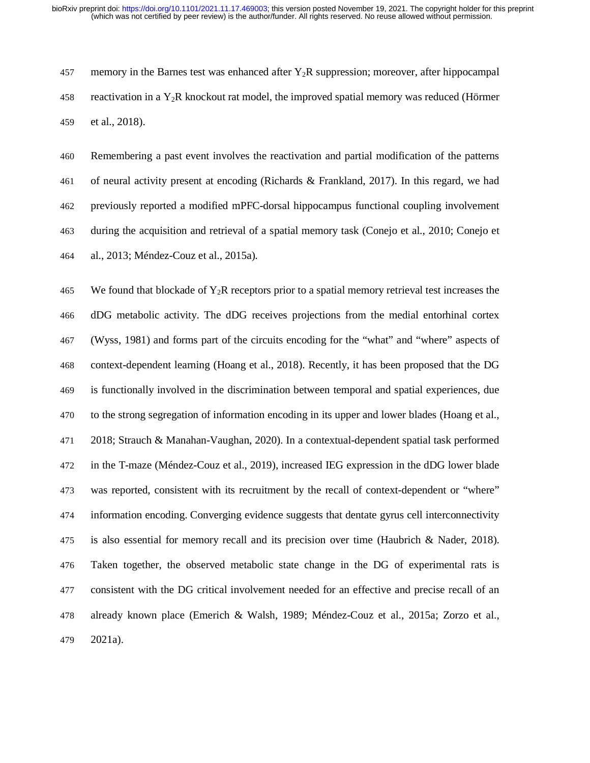457 memory in the Barnes test was enhanced after  $Y_2R$  suppression; moreover, after hippocampal 458 reactivation in a  $Y_2R$  knockout rat model, the improved spatial memory was reduced (Hörmer 459 et al., 2018).

460 Remembering a past event involves the reactivation and partial modification of the patterns 461 of neural activity present at encoding (Richards & Frankland, 2017). In this regard, we had 462 previously reported a modified mPFC-dorsal hippocampus functional coupling involvement 463 during the acquisition and retrieval of a spatial memory task (Conejo et al., 2010; Conejo et 464 al., 2013; Méndez-Couz et al., 2015a).

465 We found that blockade of  $Y_2R$  receptors prior to a spatial memory retrieval test increases the 466 dDG metabolic activity. The dDG receives projections from the medial entorhinal cortex 467 (Wyss, 1981) and forms part of the circuits encoding for the "what" and "where" aspects of 468 context-dependent learning (Hoang et al., 2018). Recently, it has been proposed that the DG 469 is functionally involved in the discrimination between temporal and spatial experiences, due 470 to the strong segregation of information encoding in its upper and lower blades (Hoang et al., 471 2018; Strauch & Manahan-Vaughan, 2020). In a contextual-dependent spatial task performed 472 in the T-maze (Méndez-Couz et al., 2019), increased IEG expression in the dDG lower blade 473 was reported, consistent with its recruitment by the recall of context-dependent or "where" 474 information encoding. Converging evidence suggests that dentate gyrus cell interconnectivity 475 is also essential for memory recall and its precision over time (Haubrich & Nader, 2018). 476 Taken together, the observed metabolic state change in the DG of experimental rats is 477 consistent with the DG critical involvement needed for an effective and precise recall of an 478 already known place (Emerich & Walsh, 1989; Méndez-Couz et al., 2015a; Zorzo et al., 479 2021a).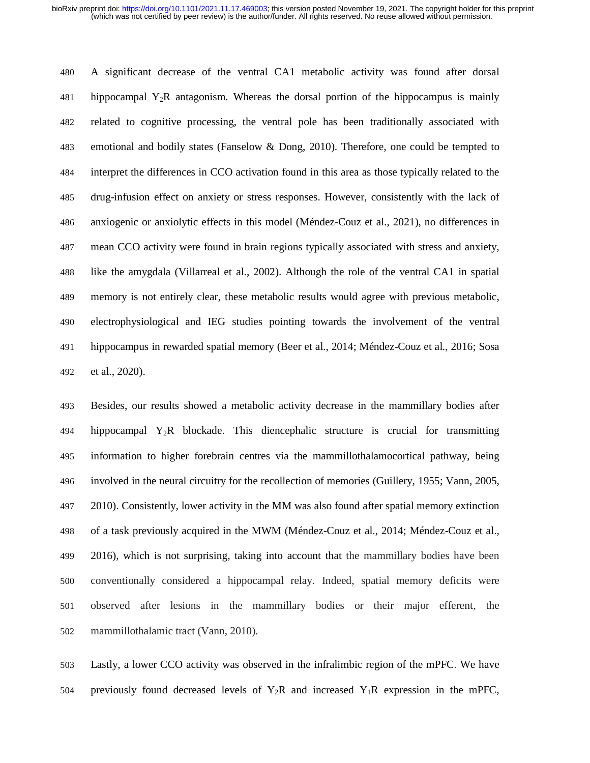480 A significant decrease of the ventral CA1 metabolic activity was found after dorsal 481 hippocampal  $Y_2R$  antagonism. Whereas the dorsal portion of the hippocampus is mainly 482 related to cognitive processing, the ventral pole has been traditionally associated with 483 emotional and bodily states (Fanselow & Dong, 2010). Therefore, one could be tempted to 484 interpret the differences in CCO activation found in this area as those typically related to the 485 drug-infusion effect on anxiety or stress responses. However, consistently with the lack of 486 anxiogenic or anxiolytic effects in this model (Méndez-Couz et al., 2021), no differences in 487 mean CCO activity were found in brain regions typically associated with stress and anxiety, 488 like the amygdala (Villarreal et al., 2002). Although the role of the ventral CA1 in spatial 489 memory is not entirely clear, these metabolic results would agree with previous metabolic, 490 electrophysiological and IEG studies pointing towards the involvement of the ventral 491 hippocampus in rewarded spatial memory (Beer et al., 2014; Méndez-Couz et al., 2016; Sosa 492 et al., 2020).

493 Besides, our results showed a metabolic activity decrease in the mammillary bodies after 494 hippocampal  $Y_2R$  blockade. This diencephalic structure is crucial for transmitting 495 information to higher forebrain centres via the mammillothalamocortical pathway, being 496 involved in the neural circuitry for the recollection of memories (Guillery, 1955; Vann, 2005, 497 2010). Consistently, lower activity in the MM was also found after spatial memory extinction 498 of a task previously acquired in the MWM (Méndez-Couz et al., 2014; Méndez-Couz et al., 499 2016), which is not surprising, taking into account that the mammillary bodies have been 500 conventionally considered a hippocampal relay. Indeed, spatial memory deficits were 501 observed after lesions in the mammillary bodies or their major efferent, the 502 mammillothalamic tract (Vann, 2010).

503 Lastly, a lower CCO activity was observed in the infralimbic region of the mPFC. We have 504 previously found decreased levels of  $Y_2R$  and increased  $Y_1R$  expression in the mPFC,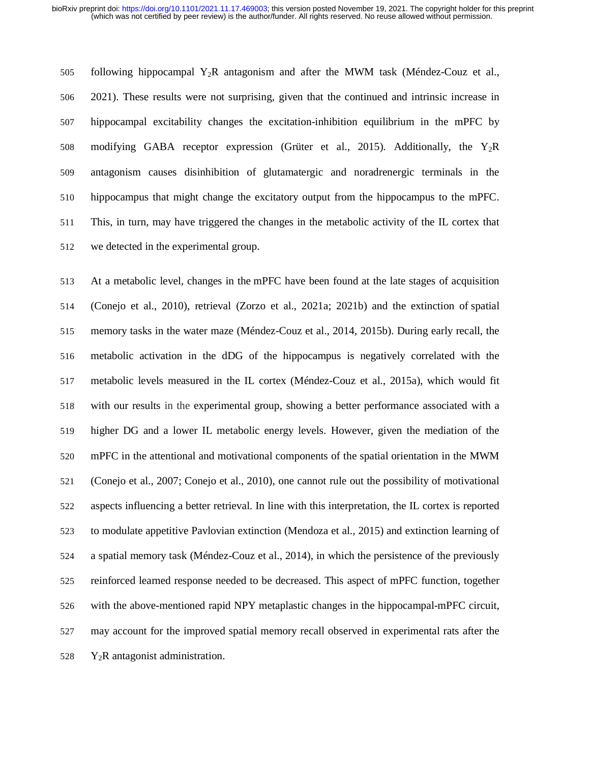505 following hippocampal  $Y_2R$  antagonism and after the MWM task (Méndez-Couz et al., 506 2021). These results were not surprising, given that the continued and intrinsic increase in 507 hippocampal excitability changes the excitation-inhibition equilibrium in the mPFC by 508 modifying GABA receptor expression (Grüter et al., 2015). Additionally, the  $Y_2R$ 509 antagonism causes disinhibition of glutamatergic and noradrenergic terminals in the 510 hippocampus that might change the excitatory output from the hippocampus to the mPFC. 511 This, in turn, may have triggered the changes in the metabolic activity of the IL cortex that 512 we detected in the experimental group.

513 At a metabolic level, changes in the mPFC have been found at the late stages of acquisition 514 (Conejo et al., 2010), retrieval (Zorzo et al., 2021a; 2021b) and the extinction of spatial 515 memory tasks in the water maze (Méndez-Couz et al., 2014, 2015b). During early recall, the 516 metabolic activation in the dDG of the hippocampus is negatively correlated with the 517 metabolic levels measured in the IL cortex (Méndez-Couz et al., 2015a), which would fit 518 with our results in the experimental group, showing a better performance associated with a 519 higher DG and a lower IL metabolic energy levels. However, given the mediation of the 520 mPFC in the attentional and motivational components of the spatial orientation in the MWM 521 (Conejo et al., 2007; Conejo et al., 2010), one cannot rule out the possibility of motivational 522 aspects influencing a better retrieval. In line with this interpretation, the IL cortex is reported 523 to modulate appetitive Pavlovian extinction (Mendoza et al., 2015) and extinction learning of 524 a spatial memory task (Méndez-Couz et al., 2014), in which the persistence of the previously 525 reinforced learned response needed to be decreased. This aspect of mPFC function, together 526 with the above-mentioned rapid NPY metaplastic changes in the hippocampal-mPFC circuit, 527 may account for the improved spatial memory recall observed in experimental rats after the 528 Y<sub>2</sub>R antagonist administration.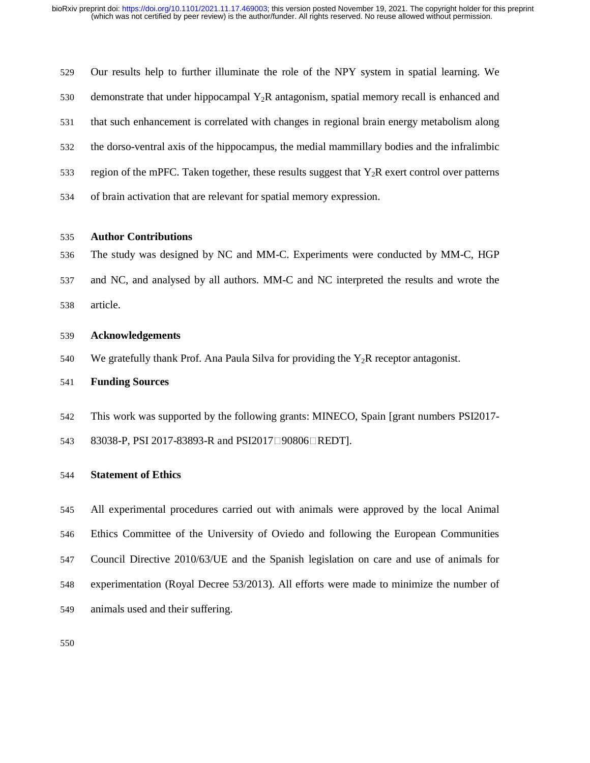| 529 | Our results help to further illuminate the role of the NPY system in spatial learning. We         |
|-----|---------------------------------------------------------------------------------------------------|
| 530 | demonstrate that under hippocampal $Y_2R$ antagonism, spatial memory recall is enhanced and       |
| 531 | that such enhancement is correlated with changes in regional brain energy metabolism along        |
| 532 | the dorso-ventral axis of the hippocampus, the medial mammillary bodies and the infralimbic       |
| 533 | region of the mPFC. Taken together, these results suggest that $Y_2R$ exert control over patterns |
| 534 | of brain activation that are relevant for spatial memory expression.                              |

### 535 **Author Contributions**

536 The study was designed by NC and MM-C. Experiments were conducted by MM-C, HGP

537 and NC, and analysed by all authors. MM-C and NC interpreted the results and wrote the

538 article.

### 539 **Acknowledgements**

540 We gratefully thank Prof. Ana Paula Silva for providing the  $Y_2R$  receptor antagonist.

### 541 **Funding Sources**

- 542 This work was supported by the following grants: MINECO, Spain [grant numbers PSI2017-
- 543 83038-P, PSI 2017-83893-R and PSI2017<sup>[1]</sup>90806<sup>[1]</sup>REDT].

### 544 **Statement of Ethics**

545 All experimental procedures carried out with animals were approved by the local Animal 546 Ethics Committee of the University of Oviedo and following the European Communities 547 Council Directive 2010/63/UE and the Spanish legislation on care and use of animals for 548 experimentation (Royal Decree 53/2013). All efforts were made to minimize the number of 549 animals used and their suffering.

550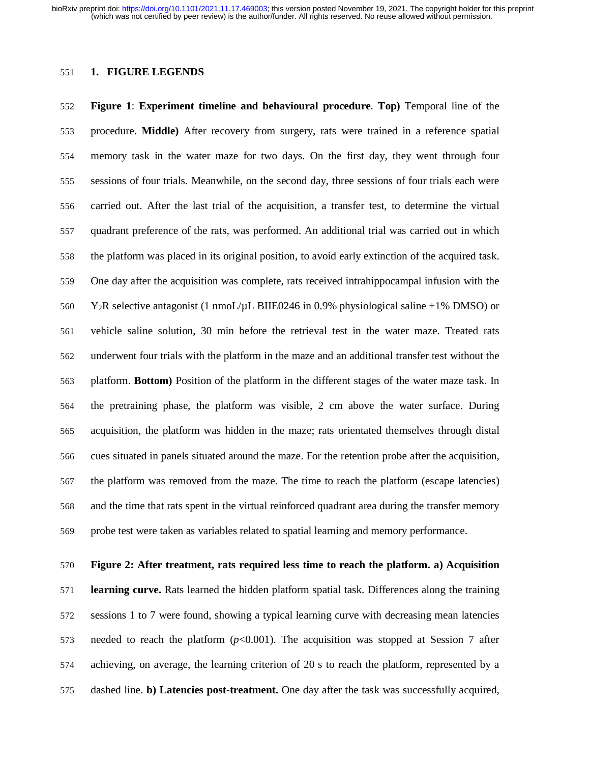### 551 **1. FIGURE LEGENDS**

552 **Figure 1**: **Experiment timeline and behavioural procedure**. **Top)** Temporal line of the 553 procedure. **Middle)** After recovery from surgery, rats were trained in a reference spatial 554 memory task in the water maze for two days. On the first day, they went through four 555 sessions of four trials. Meanwhile, on the second day, three sessions of four trials each were 556 carried out. After the last trial of the acquisition, a transfer test, to determine the virtual 557 quadrant preference of the rats, was performed. An additional trial was carried out in which 558 the platform was placed in its original position, to avoid early extinction of the acquired task. 559 One day after the acquisition was complete, rats received intrahippocampal infusion with the 560 Y<sub>2</sub>R selective antagonist (1 nmoL/ $\mu$ L BIIE0246 in 0.9% physiological saline +1% DMSO) or 561 vehicle saline solution, 30 min before the retrieval test in the water maze. Treated rats 562 underwent four trials with the platform in the maze and an additional transfer test without the 563 platform. **Bottom)** Position of the platform in the different stages of the water maze task. In 564 the pretraining phase, the platform was visible, 2 cm above the water surface. During 565 acquisition, the platform was hidden in the maze; rats orientated themselves through distal 566 cues situated in panels situated around the maze. For the retention probe after the acquisition, 567 the platform was removed from the maze. The time to reach the platform (escape latencies) 568 and the time that rats spent in the virtual reinforced quadrant area during the transfer memory 569 probe test were taken as variables related to spatial learning and memory performance.

### 570 **Figure 2: After treatment, rats required less time to reach the platform. a) Acquisition**

571 **learning curve.** Rats learned the hidden platform spatial task. Differences along the training 572 sessions 1 to 7 were found, showing a typical learning curve with decreasing mean latencies 573 needed to reach the platform (*p*<0.001). The acquisition was stopped at Session 7 after 574 achieving, on average, the learning criterion of 20 s to reach the platform, represented by a 575 dashed line. **b) Latencies post-treatment.** One day after the task was successfully acquired,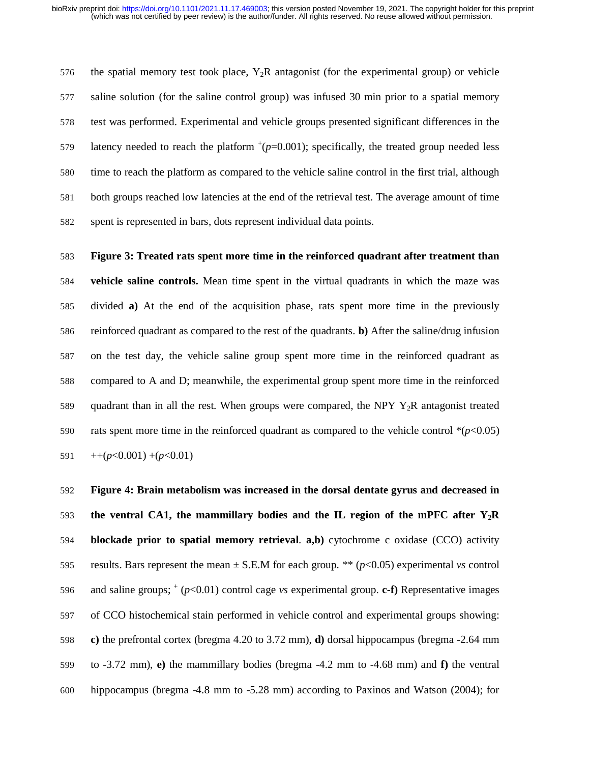576 the spatial memory test took place,  $Y_2R$  antagonist (for the experimental group) or vehicle 577 saline solution (for the saline control group) was infused 30 min prior to a spatial memory 578 test was performed. Experimental and vehicle groups presented significant differences in the 579 latency needed to reach the platform  $^+(p=0.001)$ ; specifically, the treated group needed less 580 time to reach the platform as compared to the vehicle saline control in the first trial, although 581 both groups reached low latencies at the end of the retrieval test. The average amount of time 582 spent is represented in bars, dots represent individual data points.

583 **Figure 3: Treated rats spent more time in the reinforced quadrant after treatment than**  584 **vehicle saline controls.** Mean time spent in the virtual quadrants in which the maze was 585 divided **a)** At the end of the acquisition phase, rats spent more time in the previously 586 reinforced quadrant as compared to the rest of the quadrants. **b)** After the saline/drug infusion 587 on the test day, the vehicle saline group spent more time in the reinforced quadrant as 588 compared to A and D; meanwhile, the experimental group spent more time in the reinforced 589 quadrant than in all the rest*.* When groups were compared, the NPY Y2R antagonist treated 590 rats spent more time in the reinforced quadrant as compared to the vehicle control  $*(p<0.05)$ 591  $+$ +( $p$ <0.001) +( $p$ <0.01)

592 **Figure 4: Brain metabolism was increased in the dorsal dentate gyrus and decreased in**  593 **the ventral CA1, the mammillary bodies and the IL region of the mPFC after Y2R**  594 **blockade prior to spatial memory retrieval**. **a,b)** cytochrome c oxidase (CCO) activity 595 results. Bars represent the mean  $\pm$  S.E.M for each group. \*\* ( $p$ <0.05) experimental *vs* control 596 and saline groups;  $\text{*}$   $(p<0.01)$  control cage *vs* experimental group. **c-f**) Representative images 597 of CCO histochemical stain performed in vehicle control and experimental groups showing: 598 **c)** the prefrontal cortex (bregma 4.20 to 3.72 mm), **d)** dorsal hippocampus (bregma -2.64 mm 599 to -3.72 mm), **e)** the mammillary bodies (bregma -4.2 mm to -4.68 mm) and **f)** the ventral 600 hippocampus (bregma -4.8 mm to -5.28 mm) according to Paxinos and Watson (2004); for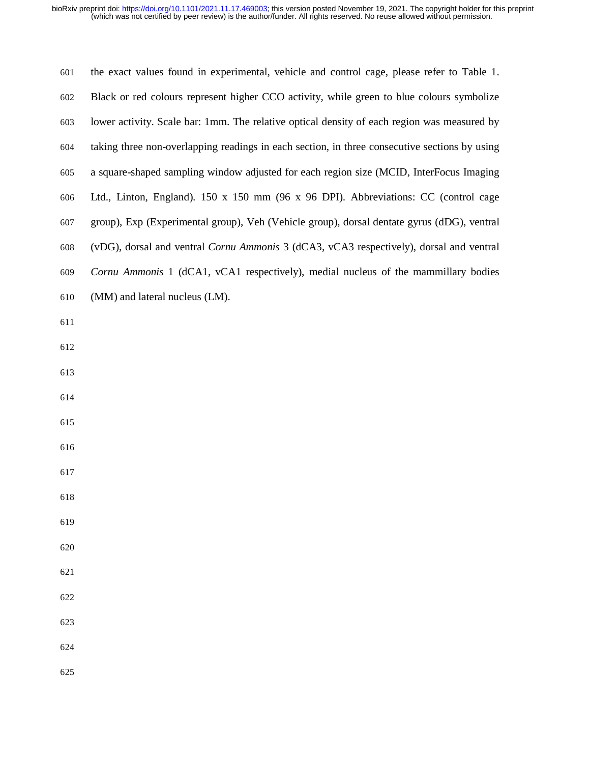| 601 | the exact values found in experimental, vehicle and control cage, please refer to Table 1.    |
|-----|-----------------------------------------------------------------------------------------------|
| 602 | Black or red colours represent higher CCO activity, while green to blue colours symbolize     |
| 603 | lower activity. Scale bar: 1mm. The relative optical density of each region was measured by   |
| 604 | taking three non-overlapping readings in each section, in three consecutive sections by using |
| 605 | a square-shaped sampling window adjusted for each region size (MCID, InterFocus Imaging       |
| 606 | Ltd., Linton, England). 150 x 150 mm (96 x 96 DPI). Abbreviations: CC (control cage           |
| 607 | group), Exp (Experimental group), Veh (Vehicle group), dorsal dentate gyrus (dDG), ventral    |
| 608 | (vDG), dorsal and ventral Cornu Ammonis 3 (dCA3, vCA3 respectively), dorsal and ventral       |
| 609 | Cornu Ammonis 1 (dCA1, vCA1 respectively), medial nucleus of the mammillary bodies            |
| 610 | (MM) and lateral nucleus (LM).                                                                |
| 611 |                                                                                               |
| 612 |                                                                                               |
| 613 |                                                                                               |
| 614 |                                                                                               |
| 615 |                                                                                               |
| 616 |                                                                                               |
| 617 |                                                                                               |
| 618 |                                                                                               |
| 619 |                                                                                               |
| 620 |                                                                                               |
| 621 |                                                                                               |
| 622 |                                                                                               |
| 623 |                                                                                               |
| 624 |                                                                                               |
| 625 |                                                                                               |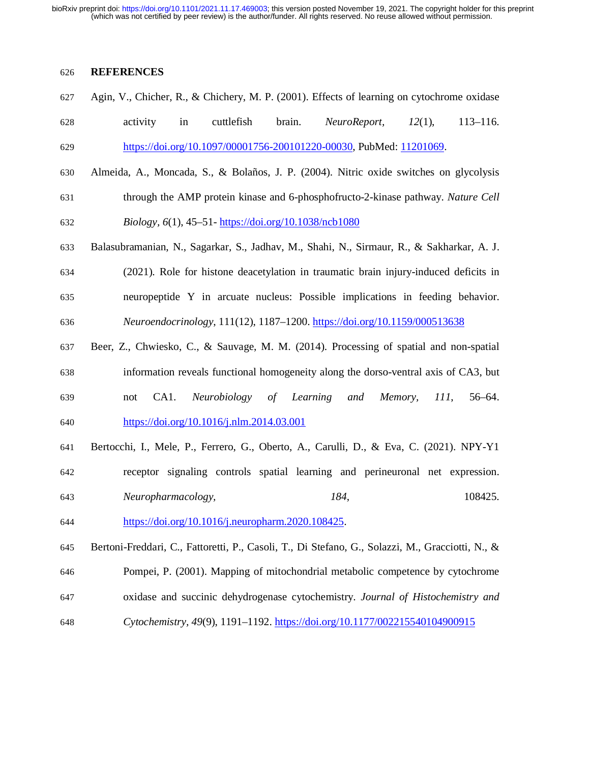### 626 **REFERENCES**

627 Agin, V., Chicher, R., & Chichery, M. P. (2001). Effects of learning on cytochrome oxidase 628 activity in cuttlefish brain. *NeuroReport, 12*(1), 113–116.

629 https://doi.org/10.1097/00001756-200101220-00030, PubMed: 11201069.

630 Almeida, A., Moncada, S., & Bolaños, J. P. (2004). Nitric oxide switches on glycolysis 631 through the AMP protein kinase and 6-phosphofructo-2-kinase pathway. *Nature Cell* 

632 *Biology, 6*(1), 45–51- https://doi.org/10.1038/ncb1080

- 633 Balasubramanian, N., Sagarkar, S., Jadhav, M., Shahi, N., Sirmaur, R., & Sakharkar, A. J. 634 (2021). Role for histone deacetylation in traumatic brain injury-induced deficits in 635 neuropeptide Y in arcuate nucleus: Possible implications in feeding behavior. 636 *Neuroendocrinology*, 111(12), 1187–1200. https://doi.org/10.1159/000513638
- 637 Beer, Z., Chwiesko, C., & Sauvage, M. M. (2014). Processing of spatial and non-spatial 638 information reveals functional homogeneity along the dorso-ventral axis of CA3, but 639 not CA1. *Neurobiology of Learning and Memory, 111*, 56–64. 640 https://doi.org/10.1016/j.nlm.2014.03.001
- 641 Bertocchi, I., Mele, P., Ferrero, G., Oberto, A., Carulli, D., & Eva, C. (2021). NPY-Y1 642 receptor signaling controls spatial learning and perineuronal net expression. 643 *Neuropharmacology, 184*, 108425.
- 644 https://doi.org/10.1016/j.neuropharm.2020.108425.
- 645 Bertoni-Freddari, C., Fattoretti, P., Casoli, T., Di Stefano, G., Solazzi, M., Gracciotti, N., &
- 646 Pompei, P. (2001). Mapping of mitochondrial metabolic competence by cytochrome
- 647 oxidase and succinic dehydrogenase cytochemistry. *Journal of Histochemistry and*
- 648 *Cytochemistry, 49*(9), 1191–1192. https://doi.org/10.1177/002215540104900915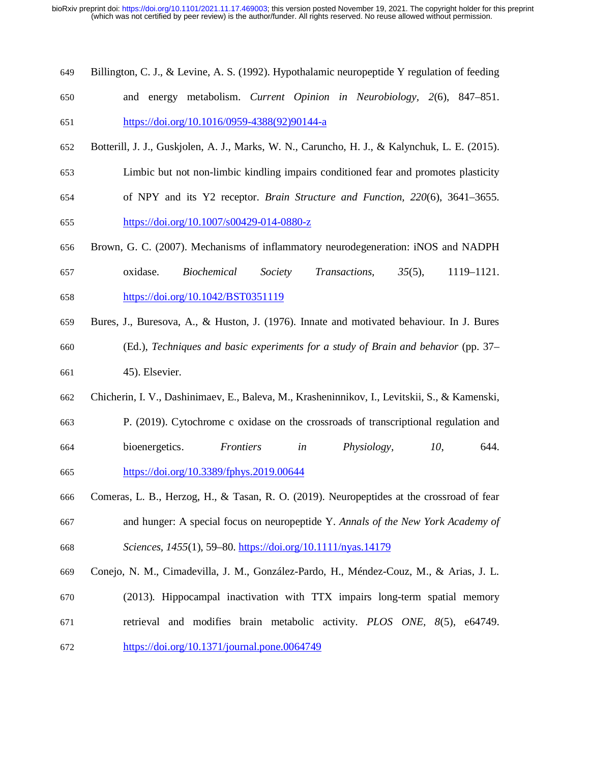| 649 |  |  |  | Billington, C. J., & Levine, A. S. (1992). Hypothalamic neuropeptide Y regulation of feeding |  |
|-----|--|--|--|----------------------------------------------------------------------------------------------|--|
| 650 |  |  |  | and energy metabolism. Current Opinion in Neurobiology, 2(6), 847–851.                       |  |
|     |  |  |  |                                                                                              |  |

651 https://doi.org/10.1016/0959-4388(92)90144-a

- 652 Botterill, J. J., Guskjolen, A. J., Marks, W. N., Caruncho, H. J., & Kalynchuk, L. E. (2015).
- 653 Limbic but not non-limbic kindling impairs conditioned fear and promotes plasticity
- 654 of NPY and its Y2 receptor. *Brain Structure and Function, 220*(6), 3641–3655.
- 655 https://doi.org/10.1007/s00429-014-0880-z
- 656 Brown, G. C. (2007). Mechanisms of inflammatory neurodegeneration: iNOS and NADPH
- 657 oxidase. *Biochemical Society Transactions, 35*(5), 1119–1121. 658 https://doi.org/10.1042/BST0351119
- 659 Bures, J., Buresova, A., & Huston, J. (1976). Innate and motivated behaviour. In J. Bures 660 (Ed.), *Techniques and basic experiments for a study of Brain and behavior* (pp. 37– 661 45). Elsevier.
- 662 Chicherin, I. V., Dashinimaev, E., Baleva, M., Krasheninnikov, I., Levitskii, S., & Kamenski,
- 663 P. (2019). Cytochrome c oxidase on the crossroads of transcriptional regulation and 664 bioenergetics. *Frontiers in Physiology, 10*, 644. 665 https://doi.org/10.3389/fphys.2019.00644
- 666 Comeras, L. B., Herzog, H., & Tasan, R. O. (2019). Neuropeptides at the crossroad of fear 667 and hunger: A special focus on neuropeptide Y. *Annals of the New York Academy of*  668 *Sciences, 1455*(1), 59–80. https://doi.org/10.1111/nyas.14179
- 669 Conejo, N. M., Cimadevilla, J. M., González-Pardo, H., Méndez-Couz, M., & Arias, J. L.
- 670 (2013). Hippocampal inactivation with TTX impairs long-term spatial memory 671 retrieval and modifies brain metabolic activity. *PLOS ONE, 8*(5), e64749. 672 https://doi.org/10.1371/journal.pone.0064749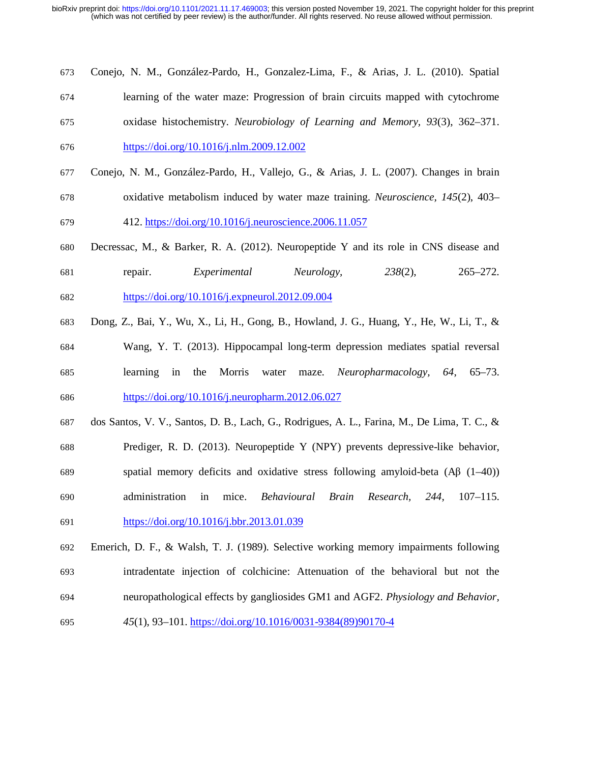- 673 Conejo, N. M., González-Pardo, H., Gonzalez-Lima, F., & Arias, J. L. (2010). Spatial
- 674 learning of the water maze: Progression of brain circuits mapped with cytochrome
- 675 oxidase histochemistry. *Neurobiology of Learning and Memory, 93*(3), 362–371. 676 https://doi.org/10.1016/j.nlm.2009.12.002
- 677 Conejo, N. M., González-Pardo, H., Vallejo, G., & Arias, J. L. (2007). Changes in brain 678 oxidative metabolism induced by water maze training. *Neuroscience, 145*(2), 403–
- 679 412. https://doi.org/10.1016/j.neuroscience.2006.11.057
- 680 Decressac, M., & Barker, R. A. (2012). Neuropeptide Y and its role in CNS disease and 681 repair. *Experimental Neurology, 238*(2), 265–272. 682 https://doi.org/10.1016/j.expneurol.2012.09.004
- 683 Dong, Z., Bai, Y., Wu, X., Li, H., Gong, B., Howland, J. G., Huang, Y., He, W., Li, T., & 684 Wang, Y. T. (2013). Hippocampal long-term depression mediates spatial reversal 685 learning in the Morris water maze. *Neuropharmacology, 64*, 65–73. 686 https://doi.org/10.1016/j.neuropharm.2012.06.027
- 687 dos Santos, V. V., Santos, D. B., Lach, G., Rodrigues, A. L., Farina, M., De Lima, T. C., &
- 688 Prediger, R. D. (2013). Neuropeptide Y (NPY) prevents depressive-like behavior, 689 spatial memory deficits and oxidative stress following amyloid-beta (Aβ (1–40)) 690 administration in mice. *Behavioural Brain Research, 244*, 107–115.
- 691 https://doi.org/10.1016/j.bbr.2013.01.039
- 692 Emerich, D. F., & Walsh, T. J. (1989). Selective working memory impairments following 693 intradentate injection of colchicine: Attenuation of the behavioral but not the 694 neuropathological effects by gangliosides GM1 and AGF2. *Physiology and Behavior,*
- 695 *45*(1), 93–101. https://doi.org/10.1016/0031-9384(89)90170-4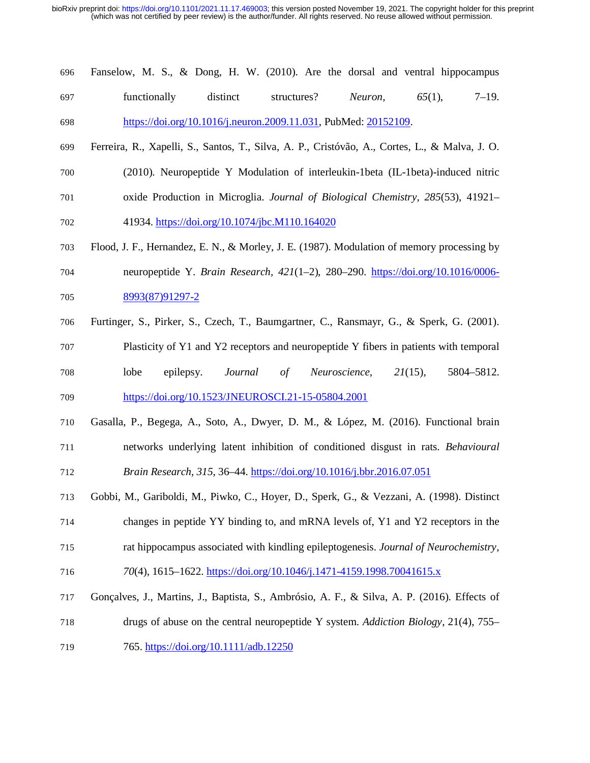## 696 Fanselow, M. S., & Dong, H. W. (2010). Are the dorsal and ventral hippocampus 697 functionally distinct structures? *Neuron, 65*(1), 7–19. 698 https://doi.org/10.1016/j.neuron.2009.11.031, PubMed: 20152109.

- 699 Ferreira, R., Xapelli, S., Santos, T., Silva, A. P., Cristóvão, A., Cortes, L., & Malva, J. O. 700 (2010). Neuropeptide Y Modulation of interleukin-1beta (IL-1beta)-induced nitric
- 701 oxide Production in Microglia. *Journal of Biological Chemistry, 285*(53), 41921–
- 702 41934. https://doi.org/10.1074/jbc.M110.164020
- 703 Flood, J. F., Hernandez, E. N., & Morley, J. E. (1987). Modulation of memory processing by
- 704 neuropeptide Y. *Brain Research, 421*(1–2), 280–290. https://doi.org/10.1016/0006- 705 8993(87)91297-2
- 706 Furtinger, S., Pirker, S., Czech, T., Baumgartner, C., Ransmayr, G., & Sperk, G. (2001).
- 707 Plasticity of Y1 and Y2 receptors and neuropeptide Y fibers in patients with temporal 708 lobe epilepsy. *Journal of Neuroscience, 21*(15), 5804–5812. 709 https://doi.org/10.1523/JNEUROSCI.21-15-05804.2001
- 710 Gasalla, P., Begega, A., Soto, A., Dwyer, D. M., & López, M. (2016). Functional brain 711 networks underlying latent inhibition of conditioned disgust in rats. *Behavioural*  712 *Brain Research, 315*, 36–44. https://doi.org/10.1016/j.bbr.2016.07.051
- 713 Gobbi, M., Gariboldi, M., Piwko, C., Hoyer, D., Sperk, G., & Vezzani, A. (1998). Distinct 714 changes in peptide YY binding to, and mRNA levels of, Y1 and Y2 receptors in the
- 715 rat hippocampus associated with kindling epileptogenesis. *Journal of Neurochemistry,*
- 716 *70*(4), 1615–1622. https://doi.org/10.1046/j.1471-4159.1998.70041615.x
- 717 Gonçalves, J., Martins, J., Baptista, S., Ambrósio, A. F., & Silva, A. P. (2016). Effects of
- 718 drugs of abuse on the central neuropeptide Y system. *Addiction Biology*, 21(4), 755–
- 719 765. https://doi.org/10.1111/adb.12250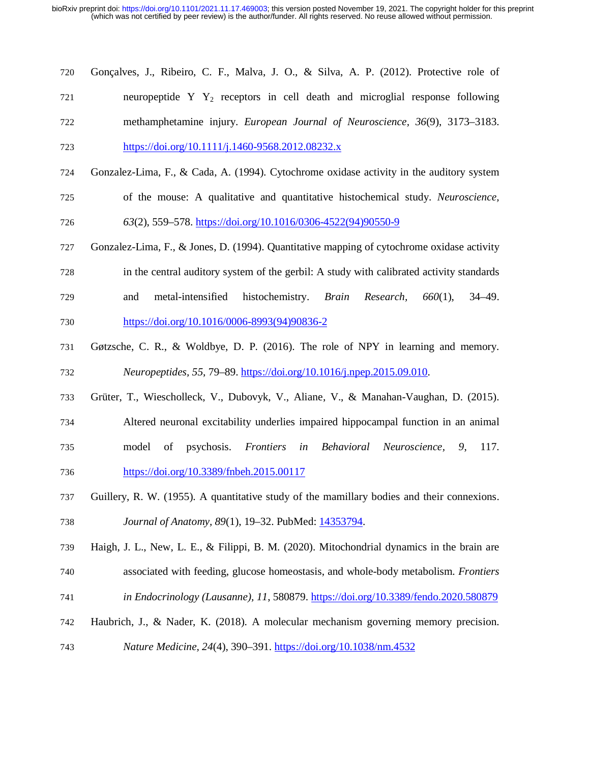| 720 | Gonçalves, J., Ribeiro, C. F., Malva, J. O., & Silva, A. P. (2012). Protective role of   |
|-----|------------------------------------------------------------------------------------------|
| 721 | neuropeptide $Y Y_2$ receptors in cell death and microglial response following           |
| 722 | methamphetamine injury. European Journal of Neuroscience, 36(9), 3173–3183.              |
| 723 | https://doi.org/10.1111/j.1460-9568.2012.08232.x                                         |
| 724 | Gonzalez-Lima, F., & Cada, A. (1994). Cytochrome oxidase activity in the auditory system |
| 725 | of the mouse: A qualitative and quantitative histochemical study. Neuroscience,          |

726 *63*(2), 559–578. https://doi.org/10.1016/0306-4522(94)90550-9

- 727 Gonzalez-Lima, F., & Jones, D. (1994). Quantitative mapping of cytochrome oxidase activity
- 728 in the central auditory system of the gerbil: A study with calibrated activity standards 729 and metal-intensified histochemistry. *Brain Research, 660*(1), 34–49.
- 730 https://doi.org/10.1016/0006-8993(94)90836-2
- 731 Gøtzsche, C. R., & Woldbye, D. P. (2016). The role of NPY in learning and memory. 732 *Neuropeptides, 55*, 79–89. https://doi.org/10.1016/j.npep.2015.09.010.
- 733 Grüter, T., Wiescholleck, V., Dubovyk, V., Aliane, V., & Manahan-Vaughan, D. (2015).
- 734 Altered neuronal excitability underlies impaired hippocampal function in an animal
- 735 model of psychosis. *Frontiers in Behavioral Neuroscience, 9*, 117. 736 https://doi.org/10.3389/fnbeh.2015.00117
- 737 Guillery, R. W. (1955). A quantitative study of the mamillary bodies and their connexions. 738 *Journal of Anatomy, 89(1), 19-32. PubMed:* 14353794.
- 739 Haigh, J. L., New, L. E., & Filippi, B. M. (2020). Mitochondrial dynamics in the brain are 740 associated with feeding, glucose homeostasis, and whole-body metabolism. *Frontiers*
- 741 *in Endocrinology (Lausanne), 11*, 580879. https://doi.org/10.3389/fendo.2020.580879
- 742 Haubrich, J., & Nader, K. (2018). A molecular mechanism governing memory precision.
- 743 *Nature Medicine, 24*(4), 390–391. https://doi.org/10.1038/nm.4532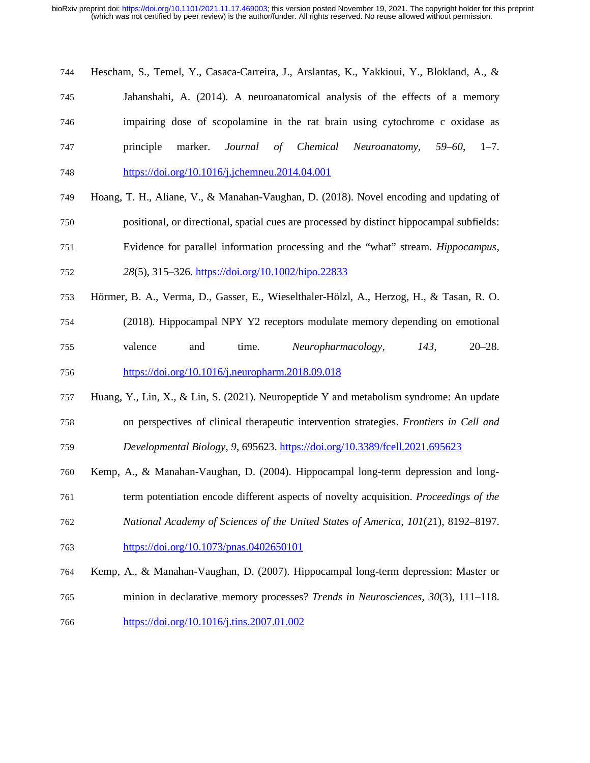- 744 Hescham, S., Temel, Y., Casaca-Carreira, J., Arslantas, K., Yakkioui, Y., Blokland, A., & 745 Jahanshahi, A. (2014). A neuroanatomical analysis of the effects of a memory 746 impairing dose of scopolamine in the rat brain using cytochrome c oxidase as 747 principle marker. *Journal of Chemical Neuroanatomy, 59–60*, 1–7. 748 https://doi.org/10.1016/j.jchemneu.2014.04.001
- 749 Hoang, T. H., Aliane, V., & Manahan-Vaughan, D. (2018). Novel encoding and updating of
- 750 positional, or directional, spatial cues are processed by distinct hippocampal subfields:
- 751 Evidence for parallel information processing and the "what" stream. *Hippocampus,*
- 752 *28*(5), 315–326. https://doi.org/10.1002/hipo.22833
- 753 Hörmer, B. A., Verma, D., Gasser, E., Wieselthaler-Hölzl, A., Herzog, H., & Tasan, R. O. 754 (2018). Hippocampal NPY Y2 receptors modulate memory depending on emotional 755 valence and time. *Neuropharmacology, 143*, 20–28. 756 https://doi.org/10.1016/j.neuropharm.2018.09.018
- 757 Huang, Y., Lin, X., & Lin, S. (2021). Neuropeptide Y and metabolism syndrome: An update 758 on perspectives of clinical therapeutic intervention strategies. *Frontiers in Cell and*
- 759 *Developmental Biology, 9*, 695623. https://doi.org/10.3389/fcell.2021.695623
- 760 Kemp, A., & Manahan-Vaughan, D. (2004). Hippocampal long-term depression and long-
- 761 term potentiation encode different aspects of novelty acquisition. *Proceedings of the*
- 762 *National Academy of Sciences of the United States of America, 101*(21), 8192–8197.
- 763 https://doi.org/10.1073/pnas.0402650101
- 764 Kemp, A., & Manahan-Vaughan, D. (2007). Hippocampal long-term depression: Master or 765 minion in declarative memory processes? *Trends in Neurosciences, 30*(3), 111–118.
- 766 https://doi.org/10.1016/j.tins.2007.01.002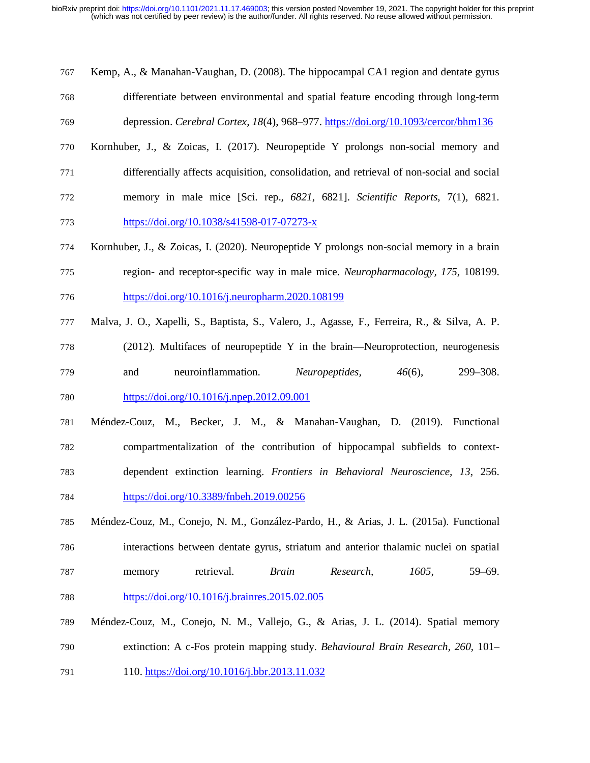767 Kemp, A., & Manahan-Vaughan, D. (2008). The hippocampal CA1 region and dentate gyrus 768 differentiate between environmental and spatial feature encoding through long-term 769 depression. *Cerebral Cortex, 18*(4), 968–977. https://doi.org/10.1093/cercor/bhm136

770 Kornhuber, J., & Zoicas, I. (2017). Neuropeptide Y prolongs non-social memory and

772 memory in male mice [Sci. rep.*, 6821*, 6821]. *Scientific Reports*, 7(1)*,* 6821.

771 differentially affects acquisition, consolidation, and retrieval of non-social and social

773 https://doi.org/10.1038/s41598-017-07273-x

791 110. https://doi.org/10.1016/j.bbr.2013.11.032

- 774 Kornhuber, J., & Zoicas, I. (2020). Neuropeptide Y prolongs non-social memory in a brain 775 region- and receptor-specific way in male mice. *Neuropharmacology, 175*, 108199. 776 https://doi.org/10.1016/j.neuropharm.2020.108199
- 777 Malva, J. O., Xapelli, S., Baptista, S., Valero, J., Agasse, F., Ferreira, R., & Silva, A. P.
- 778 (2012). Multifaces of neuropeptide Y in the brain—Neuroprotection, neurogenesis 779 and neuroinflammation. *Neuropeptides, 46*(6), 299–308. 780 https://doi.org/10.1016/j.npep.2012.09.001
- 781 Méndez-Couz, M., Becker, J. M., & Manahan-Vaughan, D. (2019). Functional 782 compartmentalization of the contribution of hippocampal subfields to context-783 dependent extinction learning. *Frontiers in Behavioral Neuroscience, 13*, 256. 784 https://doi.org/10.3389/fnbeh.2019.00256
- 785 Méndez-Couz, M., Conejo, N. M., González-Pardo, H., & Arias, J. L. (2015a). Functional 786 interactions between dentate gyrus, striatum and anterior thalamic nuclei on spatial 787 memory retrieval. *Brain Research, 1605*, 59–69. 788 https://doi.org/10.1016/j.brainres.2015.02.005
- 789 Méndez-Couz, M., Conejo, N. M., Vallejo, G., & Arias, J. L. (2014). Spatial memory 790 extinction: A c-Fos protein mapping study. *Behavioural Brain Research, 260*, 101–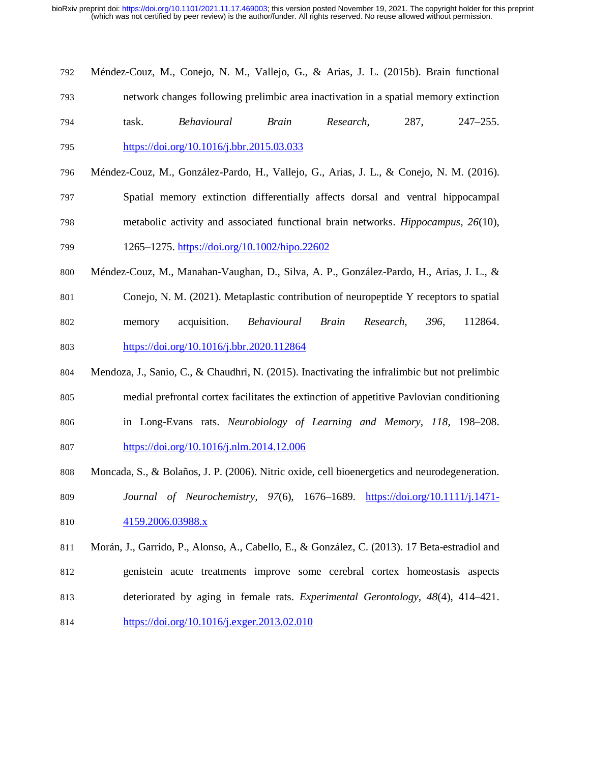792 Méndez-Couz, M., Conejo, N. M., Vallejo, G., & Arias, J. L. (2015b). Brain functional 793 network changes following prelimbic area inactivation in a spatial memory extinction 794 task. *Behavioural Brain Research*, 287, 247–255.

795 https://doi.org/10.1016/j.bbr.2015.03.033

- 796 Méndez-Couz, M., González-Pardo, H., Vallejo, G., Arias, J. L., & Conejo, N. M. (2016). 797 Spatial memory extinction differentially affects dorsal and ventral hippocampal 798 metabolic activity and associated functional brain networks. *Hippocampus, 26*(10), 799 1265–1275. https://doi.org/10.1002/hipo.22602
- 800 Méndez-Couz, M., Manahan-Vaughan, D., Silva, A. P., González-Pardo, H., Arias, J. L., &
- 801 Conejo, N. M. (2021). Metaplastic contribution of neuropeptide Y receptors to spatial 802 memory acquisition. *Behavioural Brain Research, 396*, 112864. 803 https://doi.org/10.1016/j.bbr.2020.112864
- 804 Mendoza, J., Sanio, C., & Chaudhri, N. (2015). Inactivating the infralimbic but not prelimbic 805 medial prefrontal cortex facilitates the extinction of appetitive Pavlovian conditioning 806 in Long-Evans rats. *Neurobiology of Learning and Memory, 118*, 198–208.
- 807 https://doi.org/10.1016/j.nlm.2014.12.006
- 808 Moncada, S., & Bolaños, J. P. (2006). Nitric oxide, cell bioenergetics and neurodegeneration.
- 809 *Journal of Neurochemistry, 97*(6), 1676–1689. https://doi.org/10.1111/j.1471- 810 4159.2006.03988.x
- 811 Morán, J., Garrido, P., Alonso, A., Cabello, E., & González, C. (2013). 17 Beta-estradiol and 812 genistein acute treatments improve some cerebral cortex homeostasis aspects 813 deteriorated by aging in female rats. *Experimental Gerontology, 48*(4), 414–421.
- 814 https://doi.org/10.1016/j.exger.2013.02.010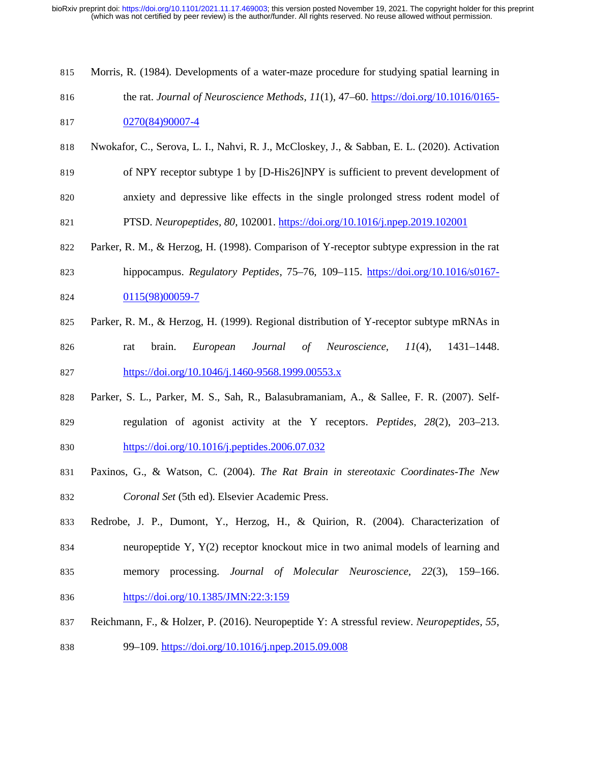- 815 Morris, R. (1984). Developments of a water-maze procedure for studying spatial learning in 816 the rat. *Journal of Neuroscience Methods, 11*(1), 47–60. https://doi.org/10.1016/0165-
- 817 0270(84)90007-4
- 818 Nwokafor, C., Serova, L. I., Nahvi, R. J., McCloskey, J., & Sabban, E. L. (2020). Activation 819 of NPY receptor subtype 1 by [D-His26]NPY is sufficient to prevent development of 820 anxiety and depressive like effects in the single prolonged stress rodent model of

821 PTSD. *Neuropeptides, 80*, 102001. https://doi.org/10.1016/j.npep.2019.102001

- 822 Parker, R. M., & Herzog, H. (1998). Comparison of Y-receptor subtype expression in the rat
- 823 hippocampus. *Regulatory Peptides*, 75–76*,* 109–115. https://doi.org/10.1016/s0167- 824 0115(98)00059-7
- 825 Parker, R. M., & Herzog, H. (1999). Regional distribution of Y-receptor subtype mRNAs in
- 826 rat brain. *European Journal of Neuroscience, 11*(4), 1431–1448. 827 https://doi.org/10.1046/j.1460-9568.1999.00553.x
- 828 Parker, S. L., Parker, M. S., Sah, R., Balasubramaniam, A., & Sallee, F. R. (2007). Self-829 regulation of agonist activity at the Y receptors. *Peptides, 28*(2), 203–213. 830 https://doi.org/10.1016/j.peptides.2006.07.032
- 831 Paxinos, G., & Watson, C. (2004). *The Rat Brain in stereotaxic Coordinates-The New*  832 *Coronal Set* (5th ed). Elsevier Academic Press.
- 833 Redrobe, J. P., Dumont, Y., Herzog, H., & Quirion, R. (2004). Characterization of 834 neuropeptide Y, Y(2) receptor knockout mice in two animal models of learning and 835 memory processing. *Journal of Molecular Neuroscience, 22*(3), 159–166.
- 836 https://doi.org/10.1385/JMN:22:3:159
- 837 Reichmann, F., & Holzer, P. (2016). Neuropeptide Y: A stressful review. *Neuropeptides, 55*,
- 838 99–109. https://doi.org/10.1016/j.npep.2015.09.008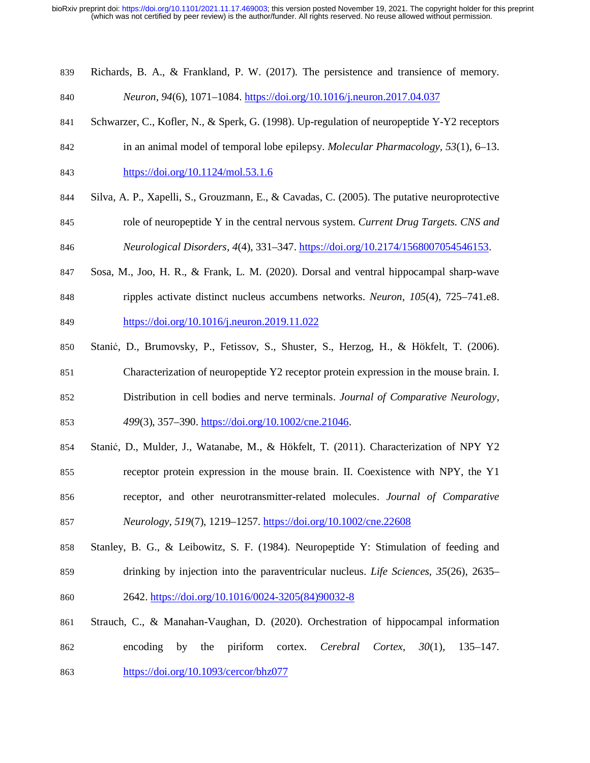839 Richards, B. A., & Frankland, P. W. (2017). The persistence and transience of memory.

```
840 Neuron, 94(6), 1071–1084. https://doi.org/10.1016/j.neuron.2017.04.037
```
- 841 Schwarzer, C., Kofler, N., & Sperk, G. (1998). Up-regulation of neuropeptide Y-Y2 receptors
- 842 in an animal model of temporal lobe epilepsy. *Molecular Pharmacology, 53*(1), 6–13.
- 843 https://doi.org/10.1124/mol.53.1.6
- 844 Silva, A. P., Xapelli, S., Grouzmann, E., & Cavadas, C. (2005). The putative neuroprotective
- 845 role of neuropeptide Y in the central nervous system. *Current Drug Targets. CNS and*  846 *Neurological Disorders, 4*(4), 331–347. https://doi.org/10.2174/1568007054546153.
- 847 Sosa, M., Joo, H. R., & Frank, L. M. (2020). Dorsal and ventral hippocampal sharp-wave 848 ripples activate distinct nucleus accumbens networks. *Neuron, 105*(4), 725–741.e8.
- 849 https://doi.org/10.1016/j.neuron.2019.11.022
- 850 Stanić, D., Brumovsky, P., Fetissov, S., Shuster, S., Herzog, H., & Hökfelt, T. (2006).
- 851 Characterization of neuropeptide Y2 receptor protein expression in the mouse brain. I.
- 852 Distribution in cell bodies and nerve terminals. *Journal of Comparative Neurology,*  853 *499*(3), 357–390. https://doi.org/10.1002/cne.21046.
- 854 Stanić, D., Mulder, J., Watanabe, M., & Hökfelt, T. (2011). Characterization of NPY Y2 855 receptor protein expression in the mouse brain. II. Coexistence with NPY, the Y1 856 receptor, and other neurotransmitter-related molecules. *Journal of Comparative*
- 857 *Neurology, 519*(7), 1219–1257. https://doi.org/10.1002/cne.22608
- 858 Stanley, B. G., & Leibowitz, S. F. (1984). Neuropeptide Y: Stimulation of feeding and 859 drinking by injection into the paraventricular nucleus. *Life Sciences, 35*(26), 2635– 860 2642. https://doi.org/10.1016/0024-3205(84)90032-8
- 861 Strauch, C., & Manahan-Vaughan, D. (2020). Orchestration of hippocampal information 862 encoding by the piriform cortex. *Cerebral Cortex, 30*(1), 135–147. 863 https://doi.org/10.1093/cercor/bhz077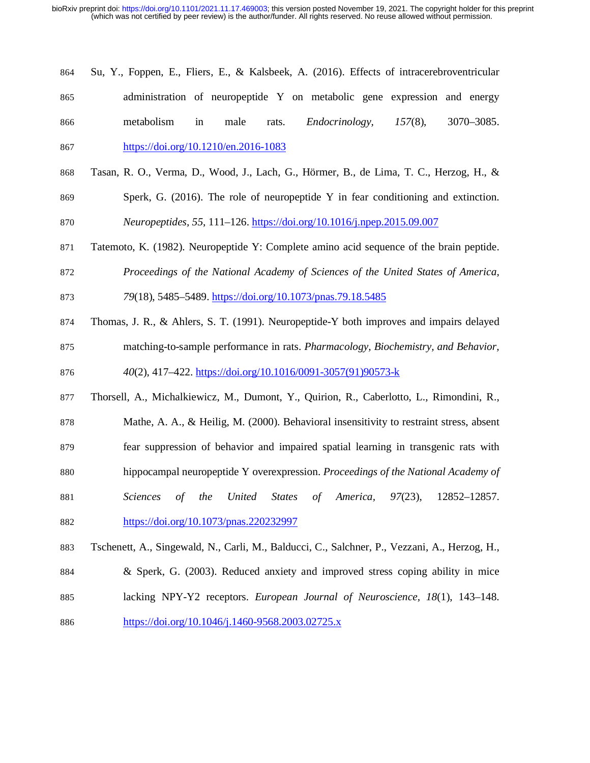- 864 Su, Y., Foppen, E., Fliers, E., & Kalsbeek, A. (2016). Effects of intracerebroventricular 865 administration of neuropeptide Y on metabolic gene expression and energy 866 metabolism in male rats. *Endocrinology, 157*(8), 3070–3085. 867 https://doi.org/10.1210/en.2016-1083
- 868 Tasan, R. O., Verma, D., Wood, J., Lach, G., Hörmer, B., de Lima, T. C., Herzog, H., &
- 869 Sperk, G. (2016). The role of neuropeptide Y in fear conditioning and extinction.
- 870 *Neuropeptides, 55*, 111–126. https://doi.org/10.1016/j.npep.2015.09.007
- 871 Tatemoto, K. (1982). Neuropeptide Y: Complete amino acid sequence of the brain peptide.
- 872 *Proceedings of the National Academy of Sciences of the United States of America,*  873 *79*(18), 5485–5489. https://doi.org/10.1073/pnas.79.18.5485
- 874 Thomas, J. R., & Ahlers, S. T. (1991). Neuropeptide-Y both improves and impairs delayed
- 875 matching-to-sample performance in rats. *Pharmacology, Biochemistry, and Behavior,*  876 *40*(2), 417–422. https://doi.org/10.1016/0091-3057(91)90573-k
- 877 Thorsell, A., Michalkiewicz, M., Dumont, Y., Quirion, R., Caberlotto, L., Rimondini, R., 878 Mathe, A. A., & Heilig, M. (2000). Behavioral insensitivity to restraint stress, absent 879 fear suppression of behavior and impaired spatial learning in transgenic rats with 880 hippocampal neuropeptide Y overexpression. *Proceedings of the National Academy of*
- 881 *Sciences of the United States of America, 97*(23), 12852–12857.
- 882 https://doi.org/10.1073/pnas.220232997
- 883 Tschenett, A., Singewald, N., Carli, M., Balducci, C., Salchner, P., Vezzani, A., Herzog, H., 884 & Sperk, G. (2003). Reduced anxiety and improved stress coping ability in mice
- 885 lacking NPY-Y2 receptors. *European Journal of Neuroscience, 18*(1), 143–148.
- 886 https://doi.org/10.1046/j.1460-9568.2003.02725.x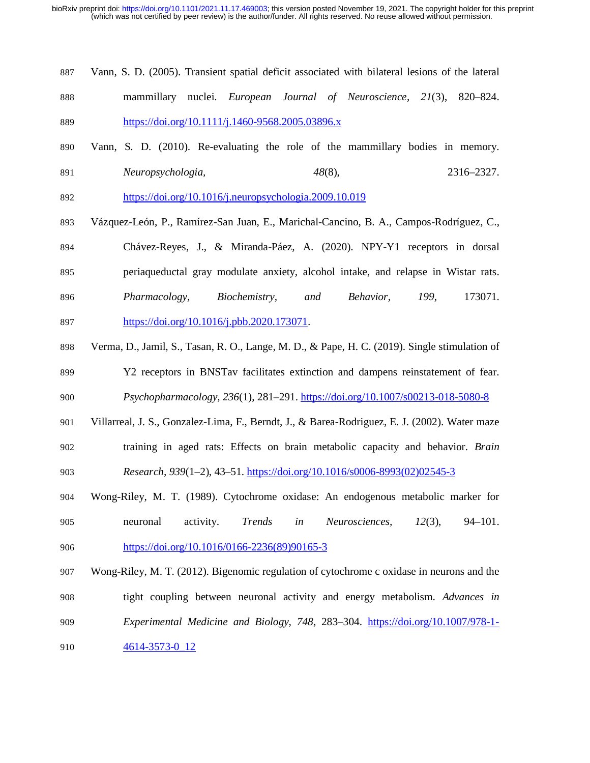- 887 Vann, S. D. (2005). Transient spatial deficit associated with bilateral lesions of the lateral 888 mammillary nuclei. *European Journal of Neuroscience, 21*(3), 820–824. 889 https://doi.org/10.1111/j.1460-9568.2005.03896.x
- 890 Vann, S. D. (2010). Re-evaluating the role of the mammillary bodies in memory. 891 *Neuropsychologia, 48*(8), 2316–2327.
- 892 https://doi.org/10.1016/j.neuropsychologia.2009.10.019
- 893 Vázquez-León, P., Ramírez-San Juan, E., Marichal-Cancino, B. A., Campos-Rodríguez, C., 894 Chávez-Reyes, J., & Miranda-Páez, A. (2020). NPY-Y1 receptors in dorsal 895 periaqueductal gray modulate anxiety, alcohol intake, and relapse in Wistar rats. 896 *Pharmacology, Biochemistry, and Behavior, 199*, 173071. 897 https://doi.org/10.1016/j.pbb.2020.173071.
- 898 Verma, D., Jamil, S., Tasan, R. O., Lange, M. D., & Pape, H. C. (2019). Single stimulation of 899 Y2 receptors in BNSTav facilitates extinction and dampens reinstatement of fear.
- 900 *Psychopharmacology, 236*(1), 281–291. https://doi.org/10.1007/s00213-018-5080-8
- 901 Villarreal, J. S., Gonzalez-Lima, F., Berndt, J., & Barea-Rodriguez, E. J. (2002). Water maze 902 training in aged rats: Effects on brain metabolic capacity and behavior. *Brain*  903 *Research, 939*(1–2), 43–51. https://doi.org/10.1016/s0006-8993(02)02545-3
- 904 Wong-Riley, M. T. (1989). Cytochrome oxidase: An endogenous metabolic marker for 905 neuronal activity. *Trends in Neurosciences, 12*(3), 94–101. 906 https://doi.org/10.1016/0166-2236(89)90165-3
- 907 Wong-Riley, M. T. (2012). Bigenomic regulation of cytochrome c oxidase in neurons and the 908 tight coupling between neuronal activity and energy metabolism. *Advances in*
- 909 *Experimental Medicine and Biology, 748*, 283–304. https://doi.org/10.1007/978-1-
- 910 4614-3573-0 12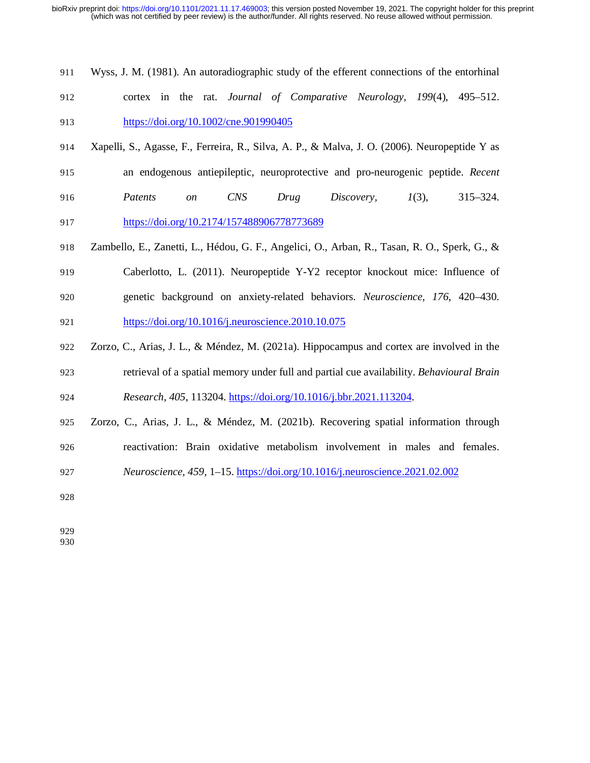- 911 Wyss, J. M. (1981). An autoradiographic study of the efferent connections of the entorhinal
- 912 cortex in the rat. *Journal of Comparative Neurology, 199*(4), 495–512. 913 https://doi.org/10.1002/cne.901990405
- 914 Xapelli, S., Agasse, F., Ferreira, R., Silva, A. P., & Malva, J. O. (2006). Neuropeptide Y as 915 an endogenous antiepileptic, neuroprotective and pro-neurogenic peptide. *Recent*
- 
- 916 *Patents on CNS Drug Discovery, 1*(3), 315–324.

917 https://doi.org/10.2174/157488906778773689

- 918 Zambello, E., Zanetti, L., Hédou, G. F., Angelici, O., Arban, R., Tasan, R. O., Sperk, G., & 919 Caberlotto, L. (2011). Neuropeptide Y-Y2 receptor knockout mice: Influence of
- 920 genetic background on anxiety-related behaviors. *Neuroscience, 176*, 420–430. 921 https://doi.org/10.1016/j.neuroscience.2010.10.075
- 922 Zorzo, C., Arias, J. L., & Méndez, M. (2021a). Hippocampus and cortex are involved in the 923 retrieval of a spatial memory under full and partial cue availability. *Behavioural Brain*  924 *Research, 405*, 113204. https://doi.org/10.1016/j.bbr.2021.113204.
- 925 Zorzo, C., Arias, J. L., & Méndez, M. (2021b). Recovering spatial information through 926 reactivation: Brain oxidative metabolism involvement in males and females.
- 927 *Neuroscience, 459*, 1–15. https://doi.org/10.1016/j.neuroscience.2021.02.002
- 928

929 930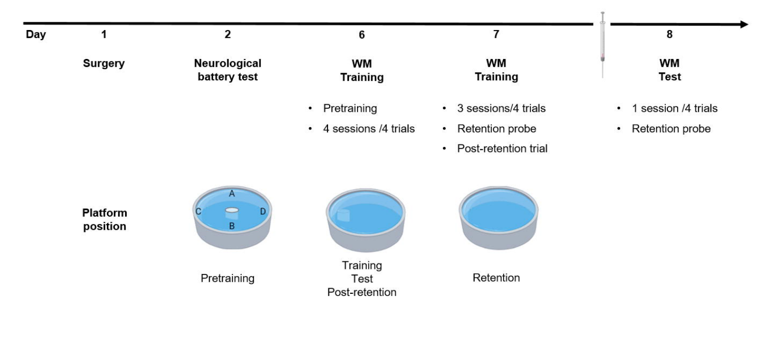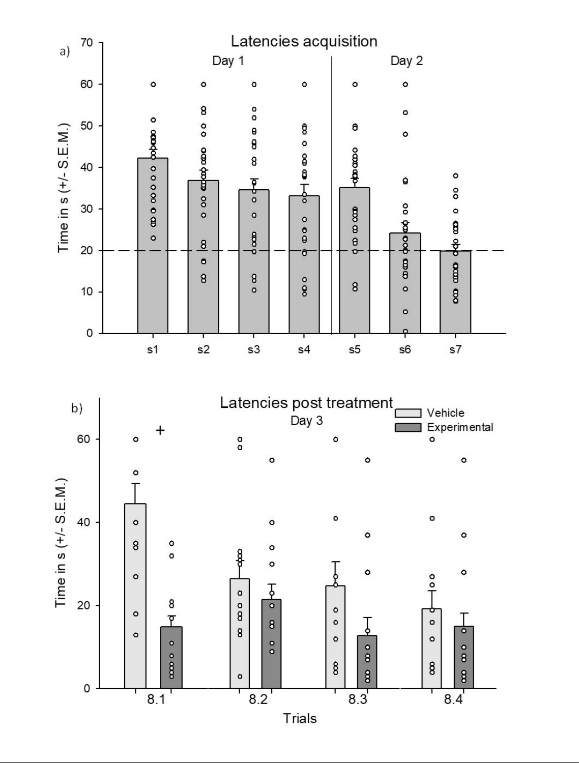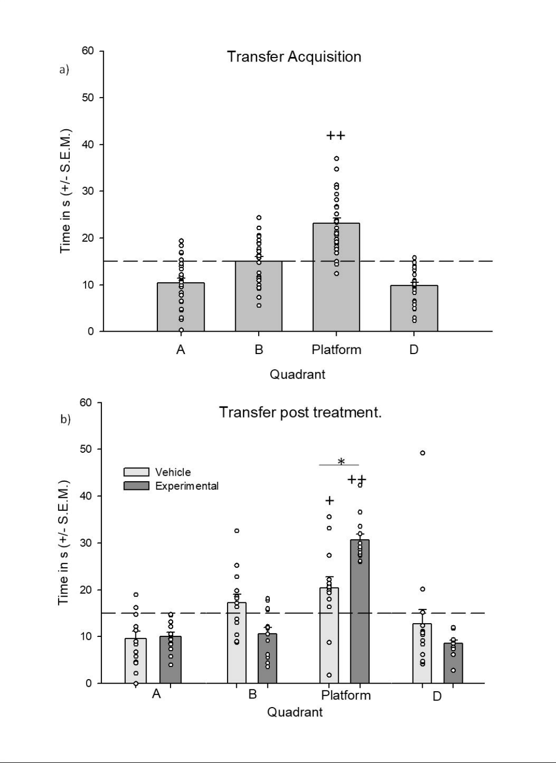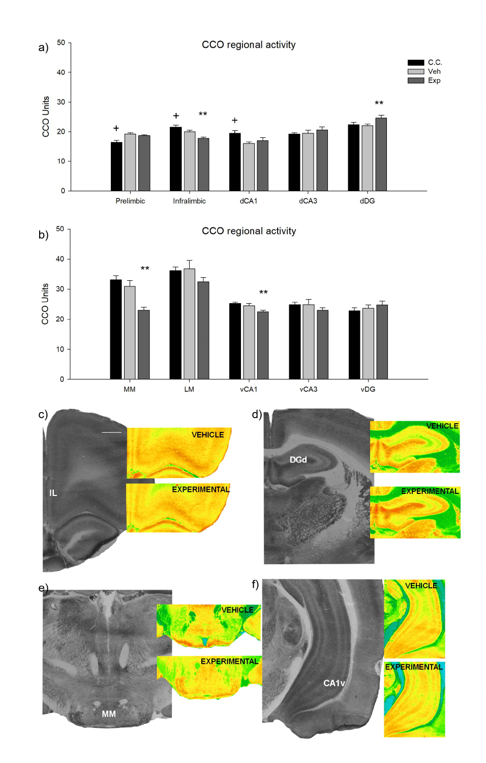



### CCO regional activity